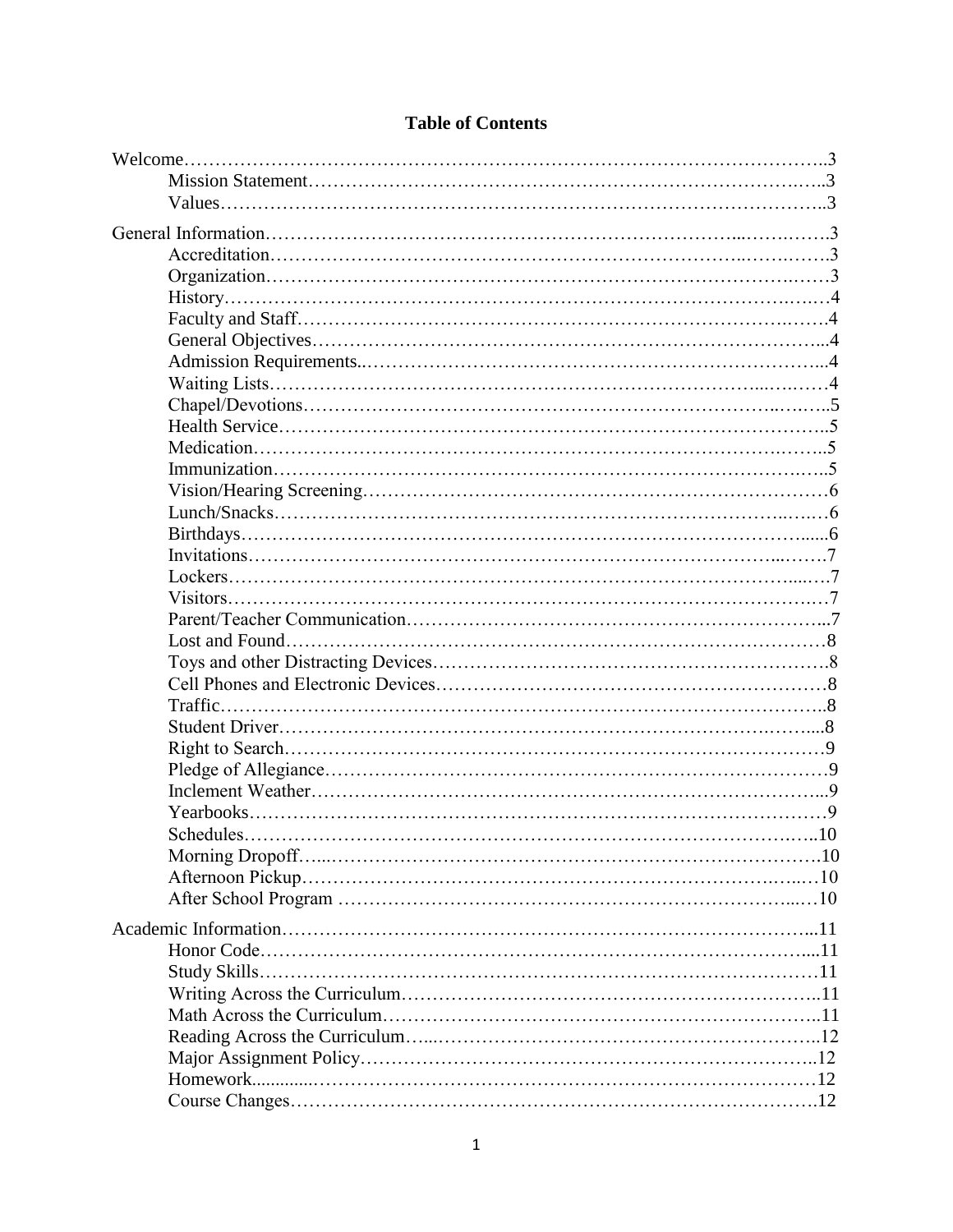# **Table of Contents**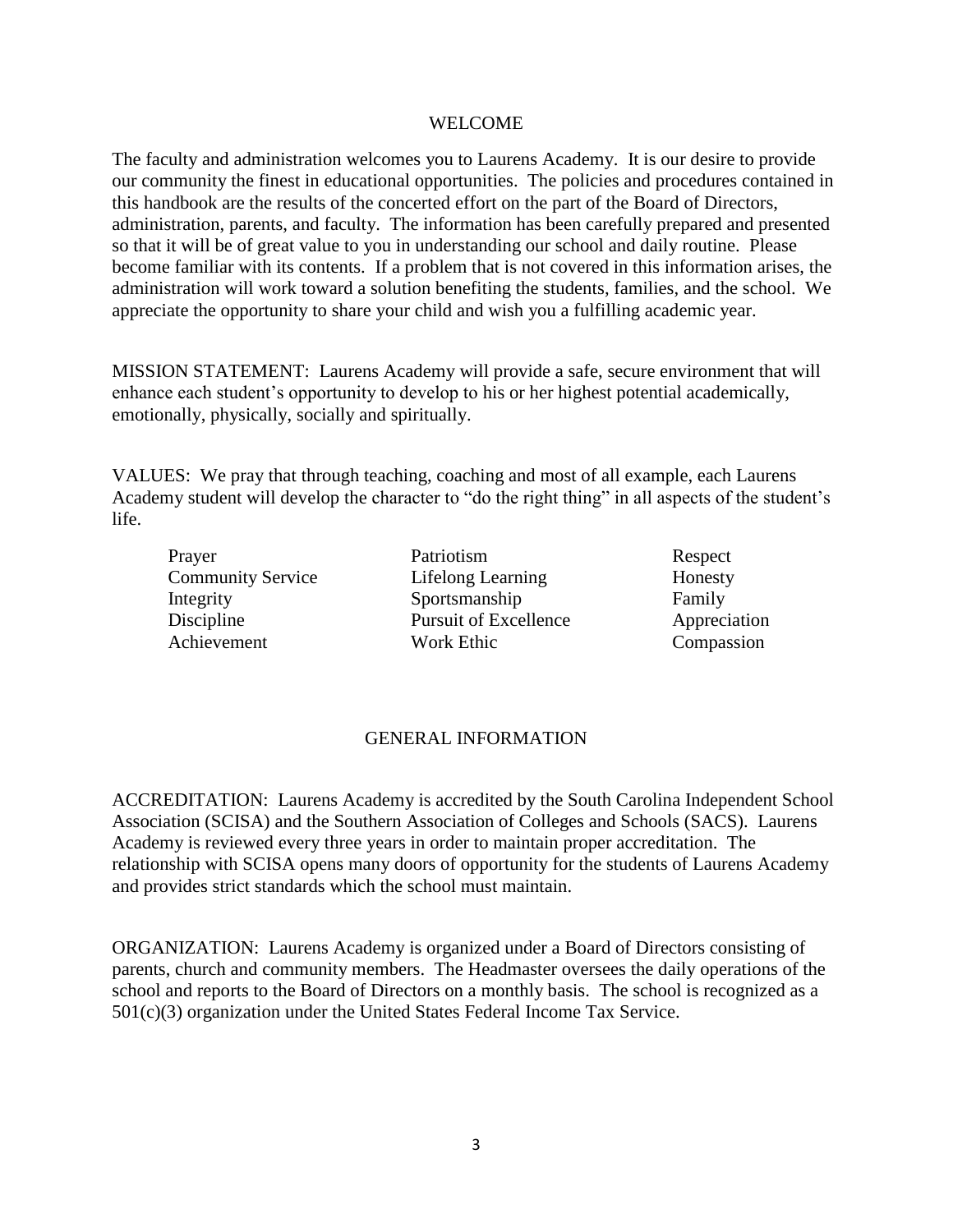#### WELCOME

The faculty and administration welcomes you to Laurens Academy. It is our desire to provide our community the finest in educational opportunities. The policies and procedures contained in this handbook are the results of the concerted effort on the part of the Board of Directors, administration, parents, and faculty. The information has been carefully prepared and presented so that it will be of great value to you in understanding our school and daily routine. Please become familiar with its contents. If a problem that is not covered in this information arises, the administration will work toward a solution benefiting the students, families, and the school. We appreciate the opportunity to share your child and wish you a fulfilling academic year.

MISSION STATEMENT: Laurens Academy will provide a safe, secure environment that will enhance each student's opportunity to develop to his or her highest potential academically, emotionally, physically, socially and spiritually.

VALUES: We pray that through teaching, coaching and most of all example, each Laurens Academy student will develop the character to "do the right thing" in all aspects of the student's life.

Prayer Patriotism Respect Community Service Lifelong Learning Honesty Integrity Sportsmanship Family Discipline Pursuit of Excellence Appreciation Achievement Work Ethic Compassion

# GENERAL INFORMATION

ACCREDITATION: Laurens Academy is accredited by the South Carolina Independent School Association (SCISA) and the Southern Association of Colleges and Schools (SACS). Laurens Academy is reviewed every three years in order to maintain proper accreditation. The relationship with SCISA opens many doors of opportunity for the students of Laurens Academy and provides strict standards which the school must maintain.

ORGANIZATION: Laurens Academy is organized under a Board of Directors consisting of parents, church and community members. The Headmaster oversees the daily operations of the school and reports to the Board of Directors on a monthly basis. The school is recognized as a 501(c)(3) organization under the United States Federal Income Tax Service.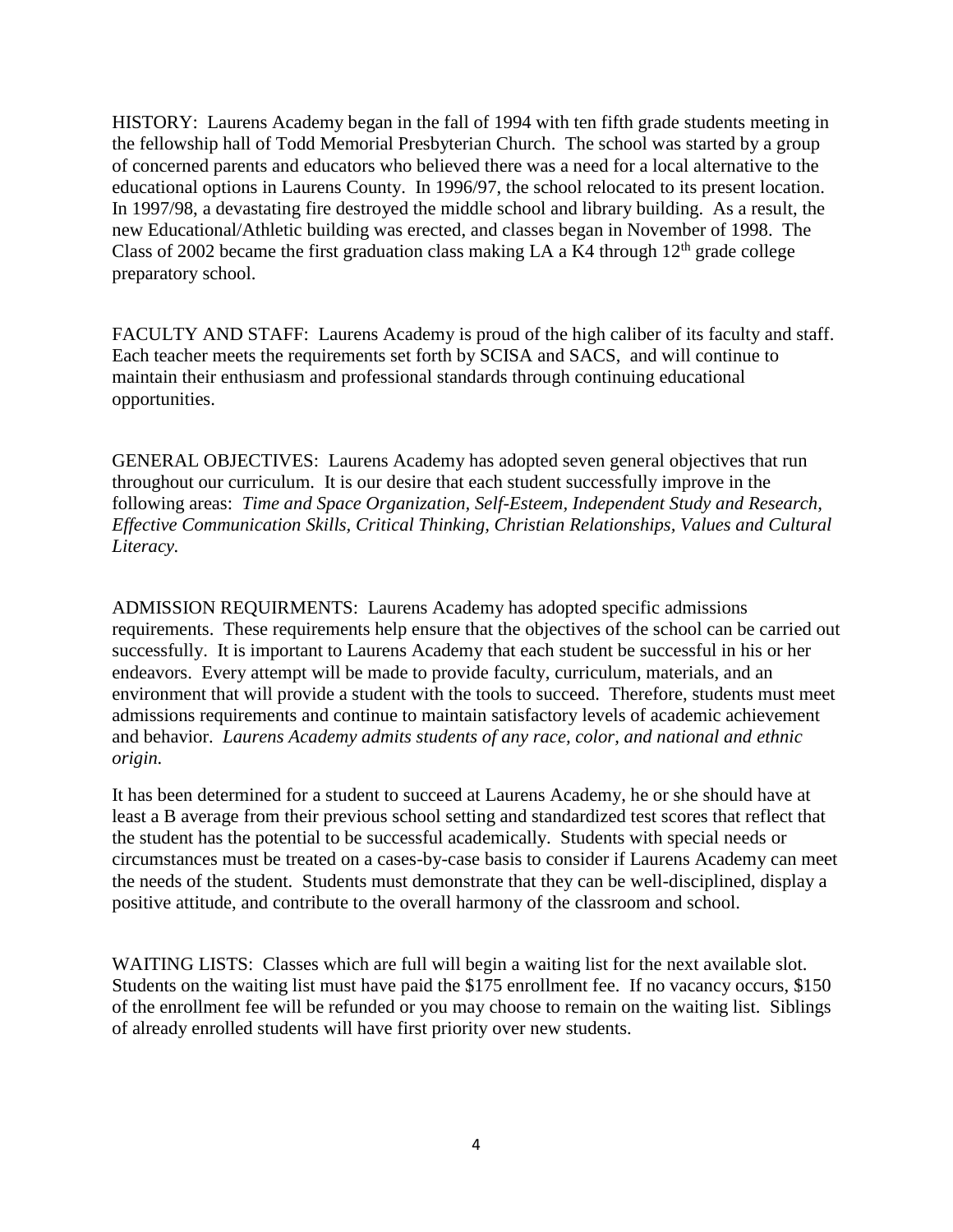HISTORY: Laurens Academy began in the fall of 1994 with ten fifth grade students meeting in the fellowship hall of Todd Memorial Presbyterian Church. The school was started by a group of concerned parents and educators who believed there was a need for a local alternative to the educational options in Laurens County. In 1996/97, the school relocated to its present location. In 1997/98, a devastating fire destroyed the middle school and library building. As a result, the new Educational/Athletic building was erected, and classes began in November of 1998. The Class of 2002 became the first graduation class making LA a K4 through  $12<sup>th</sup>$  grade college preparatory school.

FACULTY AND STAFF: Laurens Academy is proud of the high caliber of its faculty and staff. Each teacher meets the requirements set forth by SCISA and SACS, and will continue to maintain their enthusiasm and professional standards through continuing educational opportunities.

GENERAL OBJECTIVES: Laurens Academy has adopted seven general objectives that run throughout our curriculum. It is our desire that each student successfully improve in the following areas: *Time and Space Organization, Self-Esteem, Independent Study and Research, Effective Communication Skills, Critical Thinking, Christian Relationships, Values and Cultural Literacy.*

ADMISSION REQUIRMENTS: Laurens Academy has adopted specific admissions requirements. These requirements help ensure that the objectives of the school can be carried out successfully. It is important to Laurens Academy that each student be successful in his or her endeavors. Every attempt will be made to provide faculty, curriculum, materials, and an environment that will provide a student with the tools to succeed. Therefore, students must meet admissions requirements and continue to maintain satisfactory levels of academic achievement and behavior. *Laurens Academy admits students of any race, color, and national and ethnic origin.*

It has been determined for a student to succeed at Laurens Academy, he or she should have at least a B average from their previous school setting and standardized test scores that reflect that the student has the potential to be successful academically. Students with special needs or circumstances must be treated on a cases-by-case basis to consider if Laurens Academy can meet the needs of the student. Students must demonstrate that they can be well-disciplined, display a positive attitude, and contribute to the overall harmony of the classroom and school.

WAITING LISTS: Classes which are full will begin a waiting list for the next available slot. Students on the waiting list must have paid the \$175 enrollment fee. If no vacancy occurs, \$150 of the enrollment fee will be refunded or you may choose to remain on the waiting list. Siblings of already enrolled students will have first priority over new students.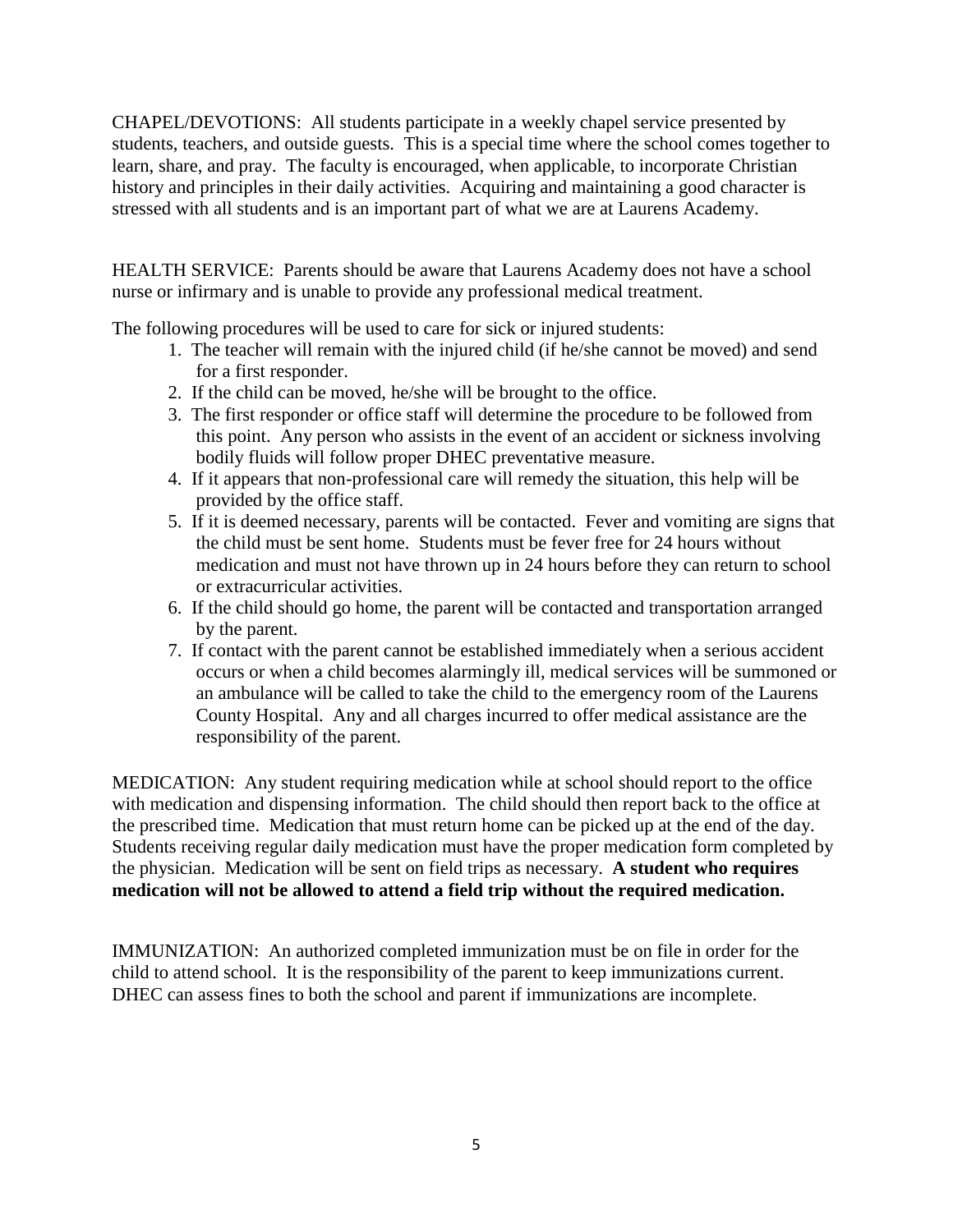CHAPEL/DEVOTIONS: All students participate in a weekly chapel service presented by students, teachers, and outside guests. This is a special time where the school comes together to learn, share, and pray. The faculty is encouraged, when applicable, to incorporate Christian history and principles in their daily activities. Acquiring and maintaining a good character is stressed with all students and is an important part of what we are at Laurens Academy.

HEALTH SERVICE: Parents should be aware that Laurens Academy does not have a school nurse or infirmary and is unable to provide any professional medical treatment.

The following procedures will be used to care for sick or injured students:

- 1. The teacher will remain with the injured child (if he/she cannot be moved) and send for a first responder.
- 2. If the child can be moved, he/she will be brought to the office.
- 3. The first responder or office staff will determine the procedure to be followed from this point. Any person who assists in the event of an accident or sickness involving bodily fluids will follow proper DHEC preventative measure.
- 4. If it appears that non-professional care will remedy the situation, this help will be provided by the office staff.
- 5. If it is deemed necessary, parents will be contacted. Fever and vomiting are signs that the child must be sent home. Students must be fever free for 24 hours without medication and must not have thrown up in 24 hours before they can return to school or extracurricular activities.
- 6. If the child should go home, the parent will be contacted and transportation arranged by the parent.
- 7. If contact with the parent cannot be established immediately when a serious accident occurs or when a child becomes alarmingly ill, medical services will be summoned or an ambulance will be called to take the child to the emergency room of the Laurens County Hospital. Any and all charges incurred to offer medical assistance are the responsibility of the parent.

MEDICATION: Any student requiring medication while at school should report to the office with medication and dispensing information. The child should then report back to the office at the prescribed time. Medication that must return home can be picked up at the end of the day. Students receiving regular daily medication must have the proper medication form completed by the physician. Medication will be sent on field trips as necessary. **A student who requires medication will not be allowed to attend a field trip without the required medication.**

IMMUNIZATION: An authorized completed immunization must be on file in order for the child to attend school. It is the responsibility of the parent to keep immunizations current. DHEC can assess fines to both the school and parent if immunizations are incomplete.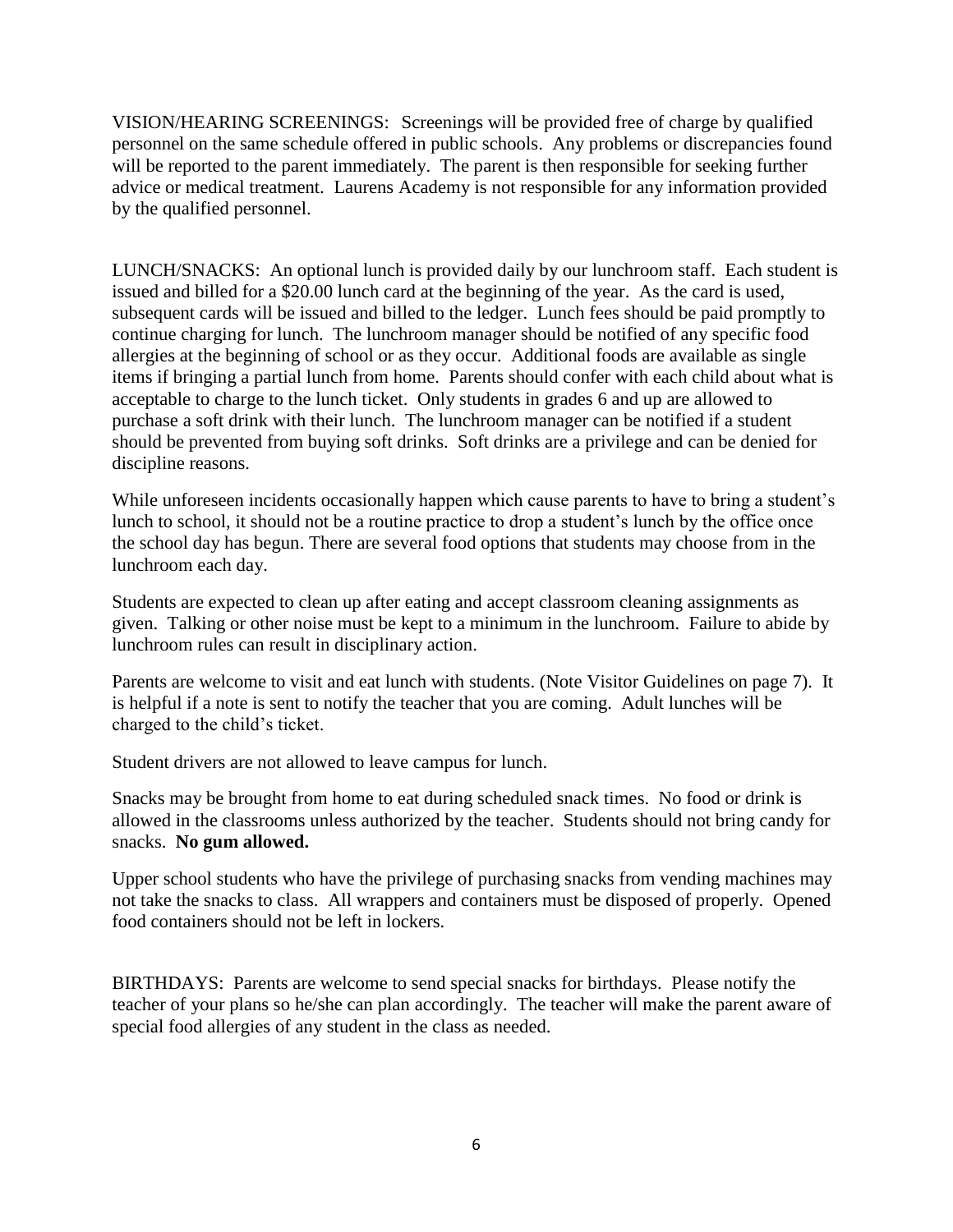VISION/HEARING SCREENINGS: Screenings will be provided free of charge by qualified personnel on the same schedule offered in public schools. Any problems or discrepancies found will be reported to the parent immediately. The parent is then responsible for seeking further advice or medical treatment. Laurens Academy is not responsible for any information provided by the qualified personnel.

LUNCH/SNACKS: An optional lunch is provided daily by our lunchroom staff. Each student is issued and billed for a \$20.00 lunch card at the beginning of the year. As the card is used, subsequent cards will be issued and billed to the ledger. Lunch fees should be paid promptly to continue charging for lunch. The lunchroom manager should be notified of any specific food allergies at the beginning of school or as they occur. Additional foods are available as single items if bringing a partial lunch from home. Parents should confer with each child about what is acceptable to charge to the lunch ticket. Only students in grades 6 and up are allowed to purchase a soft drink with their lunch. The lunchroom manager can be notified if a student should be prevented from buying soft drinks. Soft drinks are a privilege and can be denied for discipline reasons.

While unforeseen incidents occasionally happen which cause parents to have to bring a student's lunch to school, it should not be a routine practice to drop a student's lunch by the office once the school day has begun. There are several food options that students may choose from in the lunchroom each day.

Students are expected to clean up after eating and accept classroom cleaning assignments as given. Talking or other noise must be kept to a minimum in the lunchroom. Failure to abide by lunchroom rules can result in disciplinary action.

Parents are welcome to visit and eat lunch with students. (Note Visitor Guidelines on page 7). It is helpful if a note is sent to notify the teacher that you are coming. Adult lunches will be charged to the child's ticket.

Student drivers are not allowed to leave campus for lunch.

Snacks may be brought from home to eat during scheduled snack times. No food or drink is allowed in the classrooms unless authorized by the teacher. Students should not bring candy for snacks. **No gum allowed.**

Upper school students who have the privilege of purchasing snacks from vending machines may not take the snacks to class. All wrappers and containers must be disposed of properly. Opened food containers should not be left in lockers.

BIRTHDAYS: Parents are welcome to send special snacks for birthdays. Please notify the teacher of your plans so he/she can plan accordingly. The teacher will make the parent aware of special food allergies of any student in the class as needed.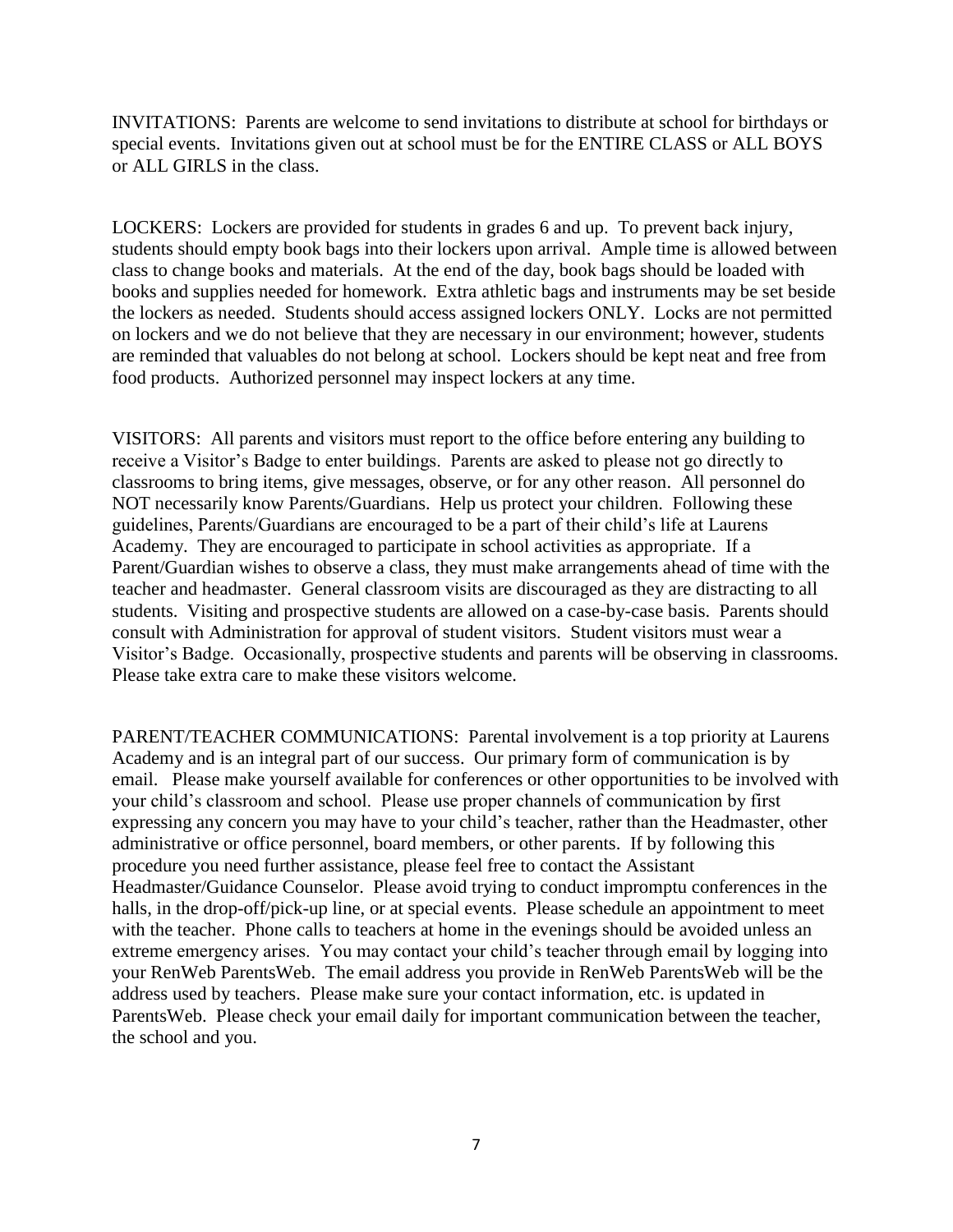INVITATIONS: Parents are welcome to send invitations to distribute at school for birthdays or special events. Invitations given out at school must be for the ENTIRE CLASS or ALL BOYS or ALL GIRLS in the class.

LOCKERS: Lockers are provided for students in grades 6 and up. To prevent back injury, students should empty book bags into their lockers upon arrival. Ample time is allowed between class to change books and materials. At the end of the day, book bags should be loaded with books and supplies needed for homework. Extra athletic bags and instruments may be set beside the lockers as needed. Students should access assigned lockers ONLY. Locks are not permitted on lockers and we do not believe that they are necessary in our environment; however, students are reminded that valuables do not belong at school. Lockers should be kept neat and free from food products. Authorized personnel may inspect lockers at any time.

VISITORS: All parents and visitors must report to the office before entering any building to receive a Visitor's Badge to enter buildings. Parents are asked to please not go directly to classrooms to bring items, give messages, observe, or for any other reason. All personnel do NOT necessarily know Parents/Guardians. Help us protect your children. Following these guidelines, Parents/Guardians are encouraged to be a part of their child's life at Laurens Academy. They are encouraged to participate in school activities as appropriate. If a Parent/Guardian wishes to observe a class, they must make arrangements ahead of time with the teacher and headmaster. General classroom visits are discouraged as they are distracting to all students. Visiting and prospective students are allowed on a case-by-case basis. Parents should consult with Administration for approval of student visitors. Student visitors must wear a Visitor's Badge. Occasionally, prospective students and parents will be observing in classrooms. Please take extra care to make these visitors welcome.

PARENT/TEACHER COMMUNICATIONS: Parental involvement is a top priority at Laurens Academy and is an integral part of our success. Our primary form of communication is by email. Please make yourself available for conferences or other opportunities to be involved with your child's classroom and school. Please use proper channels of communication by first expressing any concern you may have to your child's teacher, rather than the Headmaster, other administrative or office personnel, board members, or other parents. If by following this procedure you need further assistance, please feel free to contact the Assistant Headmaster/Guidance Counselor. Please avoid trying to conduct impromptu conferences in the halls, in the drop-off/pick-up line, or at special events. Please schedule an appointment to meet with the teacher. Phone calls to teachers at home in the evenings should be avoided unless an extreme emergency arises. You may contact your child's teacher through email by logging into your RenWeb ParentsWeb. The email address you provide in RenWeb ParentsWeb will be the address used by teachers. Please make sure your contact information, etc. is updated in ParentsWeb. Please check your email daily for important communication between the teacher, the school and you.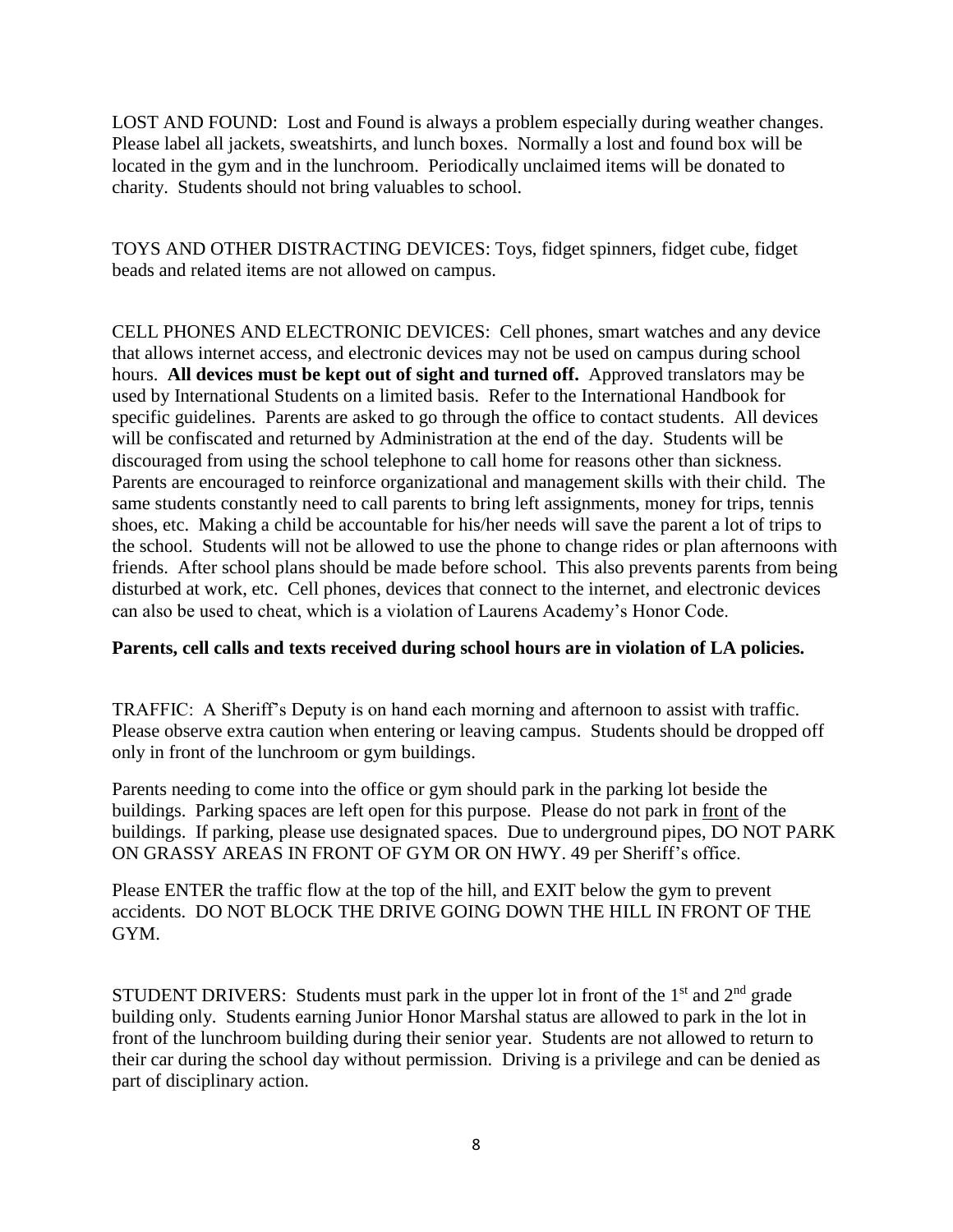LOST AND FOUND: Lost and Found is always a problem especially during weather changes. Please label all jackets, sweatshirts, and lunch boxes. Normally a lost and found box will be located in the gym and in the lunchroom. Periodically unclaimed items will be donated to charity. Students should not bring valuables to school.

TOYS AND OTHER DISTRACTING DEVICES: Toys, fidget spinners, fidget cube, fidget beads and related items are not allowed on campus.

CELL PHONES AND ELECTRONIC DEVICES: Cell phones, smart watches and any device that allows internet access, and electronic devices may not be used on campus during school hours. **All devices must be kept out of sight and turned off.** Approved translators may be used by International Students on a limited basis. Refer to the International Handbook for specific guidelines. Parents are asked to go through the office to contact students. All devices will be confiscated and returned by Administration at the end of the day. Students will be discouraged from using the school telephone to call home for reasons other than sickness. Parents are encouraged to reinforce organizational and management skills with their child. The same students constantly need to call parents to bring left assignments, money for trips, tennis shoes, etc. Making a child be accountable for his/her needs will save the parent a lot of trips to the school. Students will not be allowed to use the phone to change rides or plan afternoons with friends. After school plans should be made before school. This also prevents parents from being disturbed at work, etc. Cell phones, devices that connect to the internet, and electronic devices can also be used to cheat, which is a violation of Laurens Academy's Honor Code.

## **Parents, cell calls and texts received during school hours are in violation of LA policies.**

TRAFFIC: A Sheriff's Deputy is on hand each morning and afternoon to assist with traffic. Please observe extra caution when entering or leaving campus. Students should be dropped off only in front of the lunchroom or gym buildings.

Parents needing to come into the office or gym should park in the parking lot beside the buildings. Parking spaces are left open for this purpose. Please do not park in front of the buildings. If parking, please use designated spaces. Due to underground pipes, DO NOT PARK ON GRASSY AREAS IN FRONT OF GYM OR ON HWY. 49 per Sheriff's office.

Please ENTER the traffic flow at the top of the hill, and EXIT below the gym to prevent accidents. DO NOT BLOCK THE DRIVE GOING DOWN THE HILL IN FRONT OF THE GYM.

STUDENT DRIVERS: Students must park in the upper lot in front of the  $1<sup>st</sup>$  and  $2<sup>nd</sup>$  grade building only. Students earning Junior Honor Marshal status are allowed to park in the lot in front of the lunchroom building during their senior year. Students are not allowed to return to their car during the school day without permission. Driving is a privilege and can be denied as part of disciplinary action.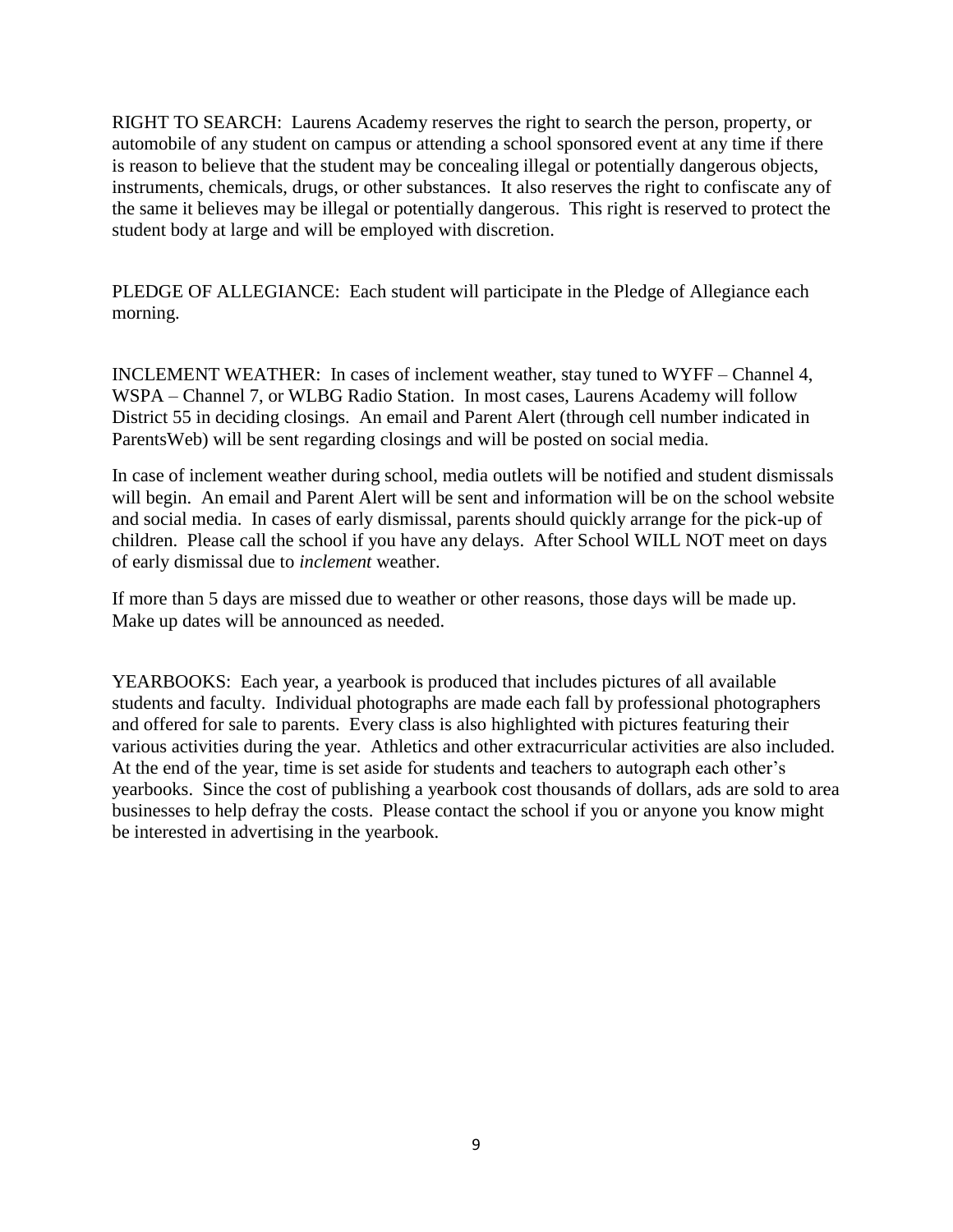RIGHT TO SEARCH: Laurens Academy reserves the right to search the person, property, or automobile of any student on campus or attending a school sponsored event at any time if there is reason to believe that the student may be concealing illegal or potentially dangerous objects, instruments, chemicals, drugs, or other substances. It also reserves the right to confiscate any of the same it believes may be illegal or potentially dangerous. This right is reserved to protect the student body at large and will be employed with discretion.

PLEDGE OF ALLEGIANCE: Each student will participate in the Pledge of Allegiance each morning.

INCLEMENT WEATHER: In cases of inclement weather, stay tuned to WYFF – Channel 4, WSPA – Channel 7, or WLBG Radio Station. In most cases, Laurens Academy will follow District 55 in deciding closings. An email and Parent Alert (through cell number indicated in ParentsWeb) will be sent regarding closings and will be posted on social media.

In case of inclement weather during school, media outlets will be notified and student dismissals will begin. An email and Parent Alert will be sent and information will be on the school website and social media. In cases of early dismissal, parents should quickly arrange for the pick-up of children. Please call the school if you have any delays. After School WILL NOT meet on days of early dismissal due to *inclement* weather.

If more than 5 days are missed due to weather or other reasons, those days will be made up. Make up dates will be announced as needed.

YEARBOOKS: Each year, a yearbook is produced that includes pictures of all available students and faculty. Individual photographs are made each fall by professional photographers and offered for sale to parents. Every class is also highlighted with pictures featuring their various activities during the year. Athletics and other extracurricular activities are also included. At the end of the year, time is set aside for students and teachers to autograph each other's yearbooks. Since the cost of publishing a yearbook cost thousands of dollars, ads are sold to area businesses to help defray the costs. Please contact the school if you or anyone you know might be interested in advertising in the yearbook.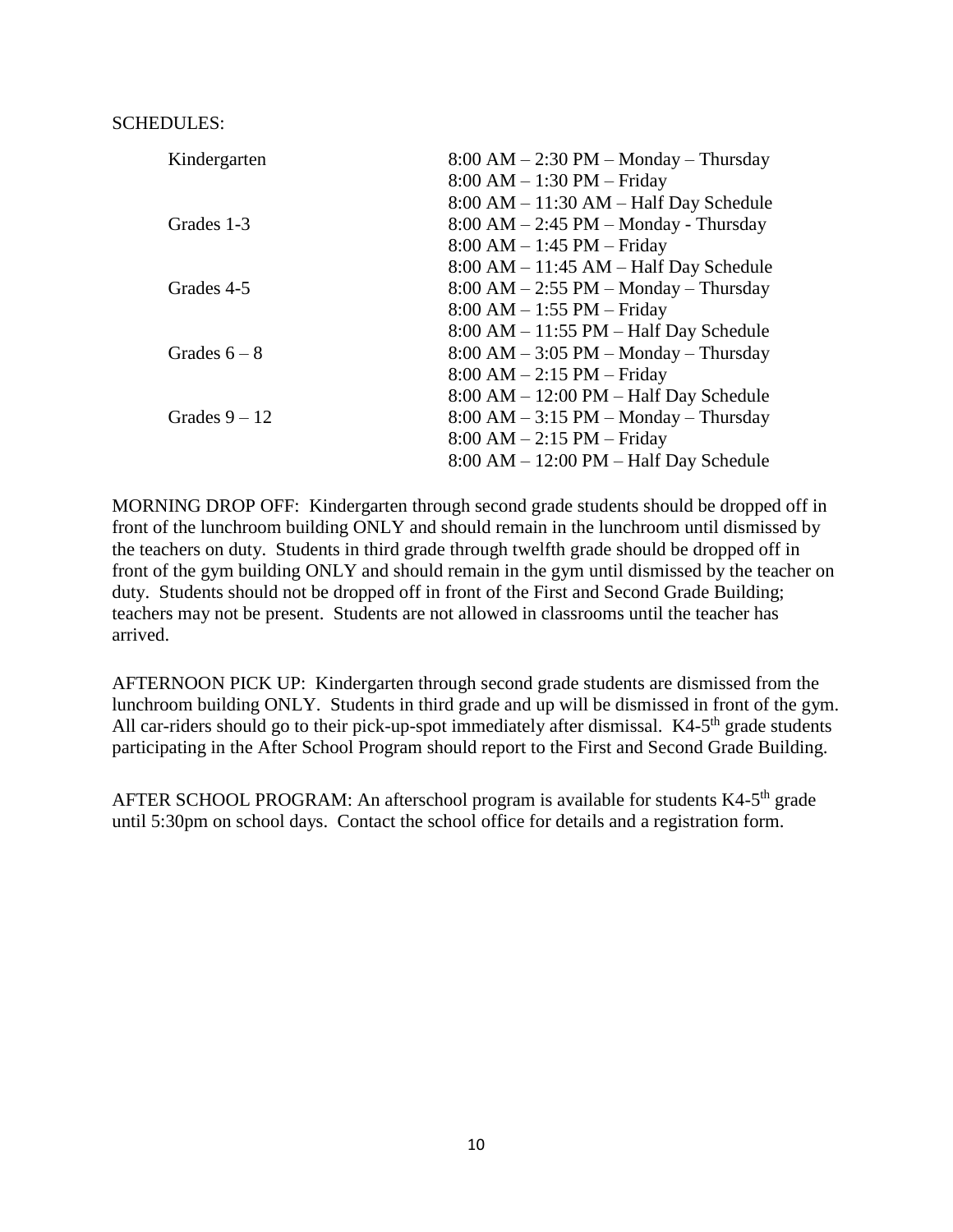#### SCHEDULES:

| Kindergarten    | $8:00 AM - 2:30 PM - Monday - Thursday$  |
|-----------------|------------------------------------------|
|                 | 8:00 AM - 1:30 PM - Friday               |
|                 | $8:00 AM - 11:30 AM - Half Day Schedule$ |
| Grades 1-3      | $8:00 AM - 2:45 PM - Monday - Thursday$  |
|                 | $8:00$ AM $-1:45$ PM $-$ Friday          |
|                 | $8:00 AM - 11:45 AM - Half Day Schedule$ |
| Grades 4-5      | $8:00 AM - 2:55 PM - Monday - Thursday$  |
|                 | $8:00$ AM $-1:55$ PM $-$ Friday          |
|                 | $8:00 AM - 11:55 PM - Half Day Schedule$ |
| Grades $6-8$    | $8:00 AM - 3:05 PM - Monday - Thursday$  |
|                 | $8:00$ AM $- 2:15$ PM $-$ Friday         |
|                 | $8:00 AM - 12:00 PM - Half Day Schedule$ |
| Grades $9 - 12$ | $8:00 AM - 3:15 PM - Monday - Thursday$  |
|                 | $8:00$ AM $- 2:15$ PM $-$ Friday         |
|                 | $8:00 AM - 12:00 PM - Half Day Schedule$ |

MORNING DROP OFF: Kindergarten through second grade students should be dropped off in front of the lunchroom building ONLY and should remain in the lunchroom until dismissed by the teachers on duty. Students in third grade through twelfth grade should be dropped off in front of the gym building ONLY and should remain in the gym until dismissed by the teacher on duty. Students should not be dropped off in front of the First and Second Grade Building; teachers may not be present. Students are not allowed in classrooms until the teacher has arrived.

AFTERNOON PICK UP: Kindergarten through second grade students are dismissed from the lunchroom building ONLY. Students in third grade and up will be dismissed in front of the gym. All car-riders should go to their pick-up-spot immediately after dismissal.  $K4-5<sup>th</sup>$  grade students participating in the After School Program should report to the First and Second Grade Building.

AFTER SCHOOL PROGRAM: An afterschool program is available for students K4-5<sup>th</sup> grade until 5:30pm on school days. Contact the school office for details and a registration form.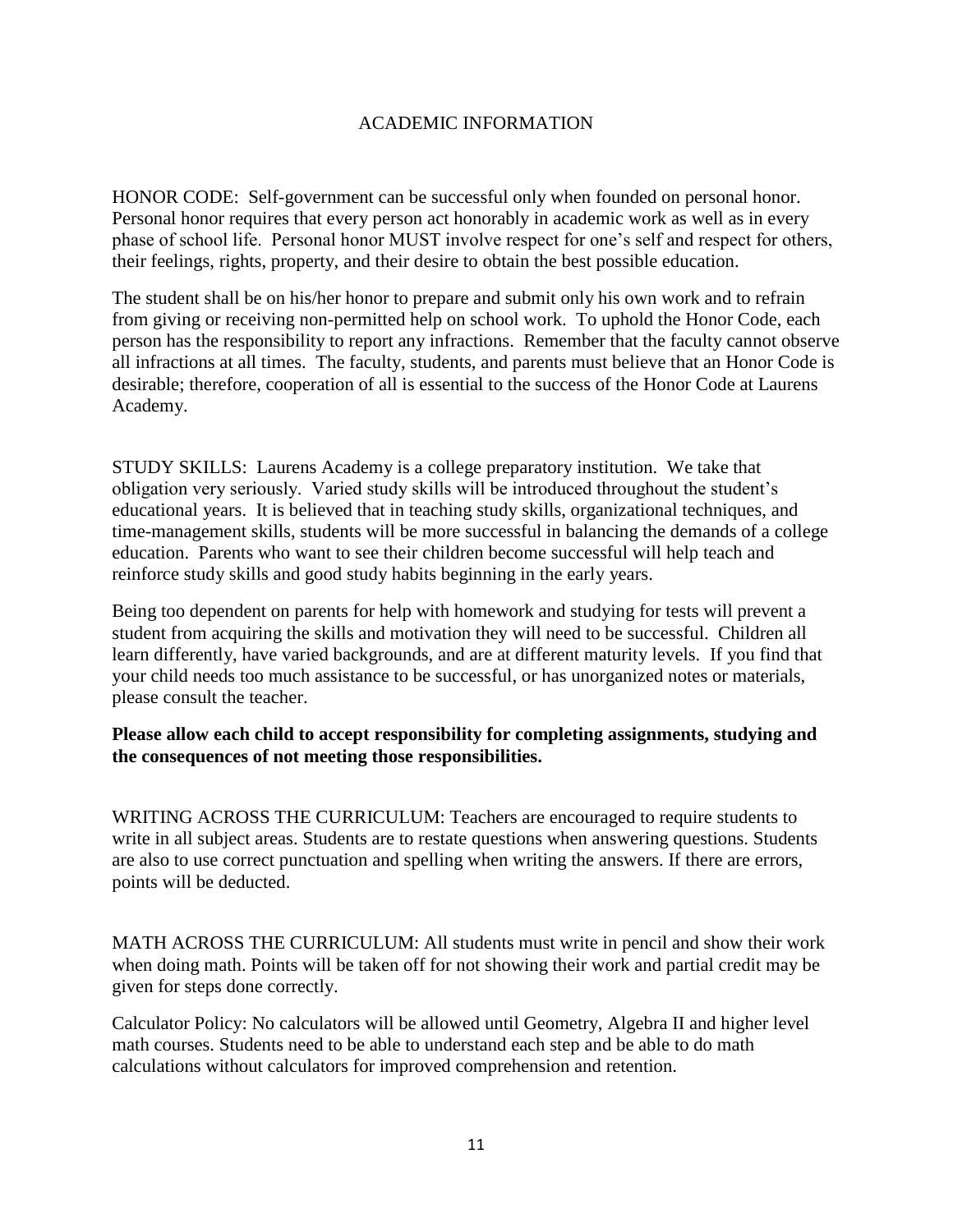## ACADEMIC INFORMATION

HONOR CODE: Self-government can be successful only when founded on personal honor. Personal honor requires that every person act honorably in academic work as well as in every phase of school life. Personal honor MUST involve respect for one's self and respect for others, their feelings, rights, property, and their desire to obtain the best possible education.

The student shall be on his/her honor to prepare and submit only his own work and to refrain from giving or receiving non-permitted help on school work. To uphold the Honor Code, each person has the responsibility to report any infractions. Remember that the faculty cannot observe all infractions at all times. The faculty, students, and parents must believe that an Honor Code is desirable; therefore, cooperation of all is essential to the success of the Honor Code at Laurens Academy.

STUDY SKILLS: Laurens Academy is a college preparatory institution. We take that obligation very seriously. Varied study skills will be introduced throughout the student's educational years. It is believed that in teaching study skills, organizational techniques, and time-management skills, students will be more successful in balancing the demands of a college education. Parents who want to see their children become successful will help teach and reinforce study skills and good study habits beginning in the early years.

Being too dependent on parents for help with homework and studying for tests will prevent a student from acquiring the skills and motivation they will need to be successful. Children all learn differently, have varied backgrounds, and are at different maturity levels. If you find that your child needs too much assistance to be successful, or has unorganized notes or materials, please consult the teacher.

## **Please allow each child to accept responsibility for completing assignments, studying and the consequences of not meeting those responsibilities.**

WRITING ACROSS THE CURRICULUM: Teachers are encouraged to require students to write in all subject areas. Students are to restate questions when answering questions. Students are also to use correct punctuation and spelling when writing the answers. If there are errors, points will be deducted.

MATH ACROSS THE CURRICULUM: All students must write in pencil and show their work when doing math. Points will be taken off for not showing their work and partial credit may be given for steps done correctly.

Calculator Policy: No calculators will be allowed until Geometry, Algebra II and higher level math courses. Students need to be able to understand each step and be able to do math calculations without calculators for improved comprehension and retention.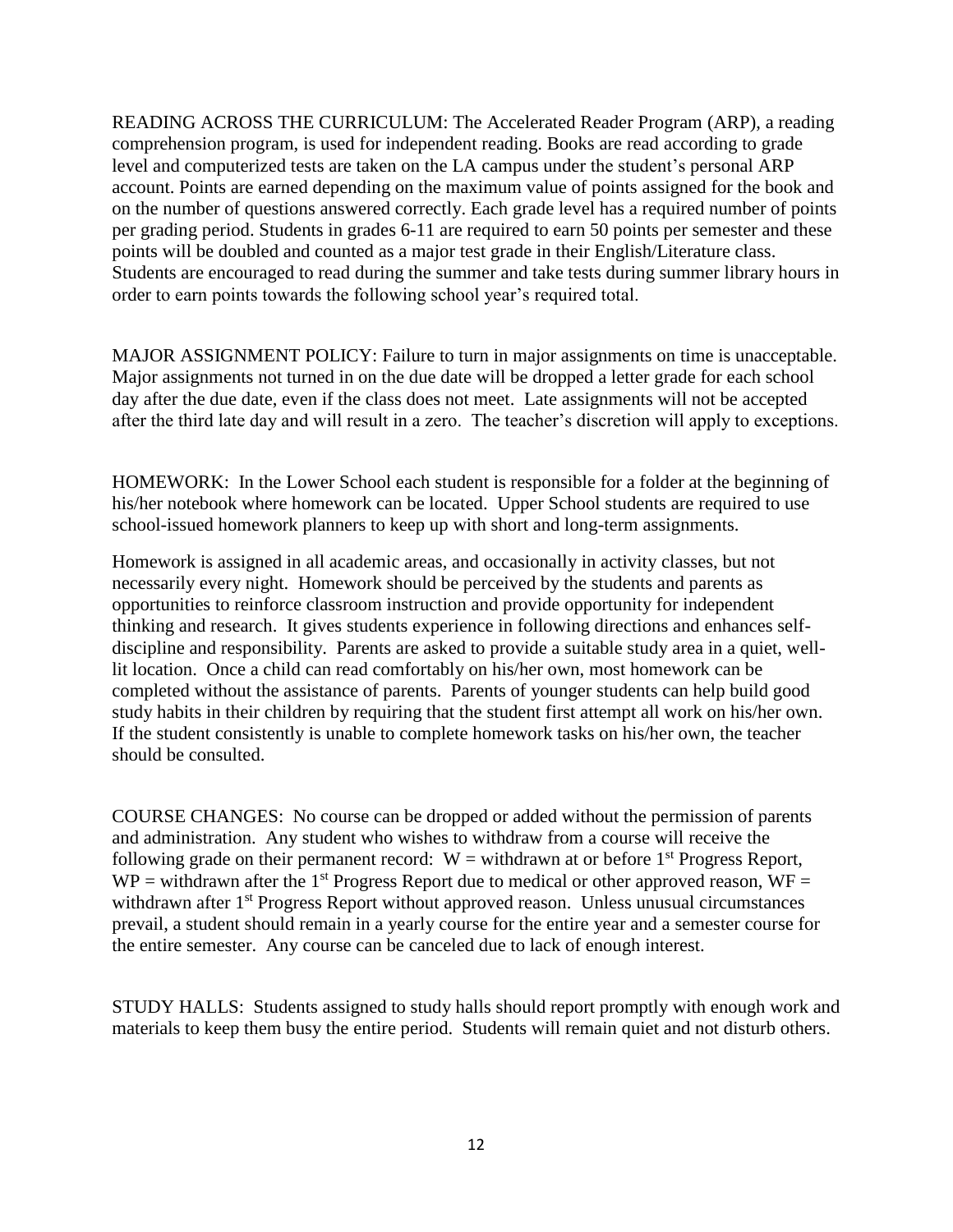READING ACROSS THE CURRICULUM: The Accelerated Reader Program (ARP), a reading comprehension program, is used for independent reading. Books are read according to grade level and computerized tests are taken on the LA campus under the student's personal ARP account. Points are earned depending on the maximum value of points assigned for the book and on the number of questions answered correctly. Each grade level has a required number of points per grading period. Students in grades 6-11 are required to earn 50 points per semester and these points will be doubled and counted as a major test grade in their English/Literature class. Students are encouraged to read during the summer and take tests during summer library hours in order to earn points towards the following school year's required total.

MAJOR ASSIGNMENT POLICY: Failure to turn in major assignments on time is unacceptable. Major assignments not turned in on the due date will be dropped a letter grade for each school day after the due date, even if the class does not meet. Late assignments will not be accepted after the third late day and will result in a zero. The teacher's discretion will apply to exceptions.

HOMEWORK: In the Lower School each student is responsible for a folder at the beginning of his/her notebook where homework can be located. Upper School students are required to use school-issued homework planners to keep up with short and long-term assignments.

Homework is assigned in all academic areas, and occasionally in activity classes, but not necessarily every night. Homework should be perceived by the students and parents as opportunities to reinforce classroom instruction and provide opportunity for independent thinking and research. It gives students experience in following directions and enhances selfdiscipline and responsibility. Parents are asked to provide a suitable study area in a quiet, welllit location. Once a child can read comfortably on his/her own, most homework can be completed without the assistance of parents. Parents of younger students can help build good study habits in their children by requiring that the student first attempt all work on his/her own. If the student consistently is unable to complete homework tasks on his/her own, the teacher should be consulted.

COURSE CHANGES: No course can be dropped or added without the permission of parents and administration. Any student who wishes to withdraw from a course will receive the following grade on their permanent record:  $W =$  withdrawn at or before 1<sup>st</sup> Progress Report,  $WP =$  withdrawn after the 1<sup>st</sup> Progress Report due to medical or other approved reason,  $WF =$ withdrawn after 1<sup>st</sup> Progress Report without approved reason. Unless unusual circumstances prevail, a student should remain in a yearly course for the entire year and a semester course for the entire semester. Any course can be canceled due to lack of enough interest.

STUDY HALLS: Students assigned to study halls should report promptly with enough work and materials to keep them busy the entire period. Students will remain quiet and not disturb others.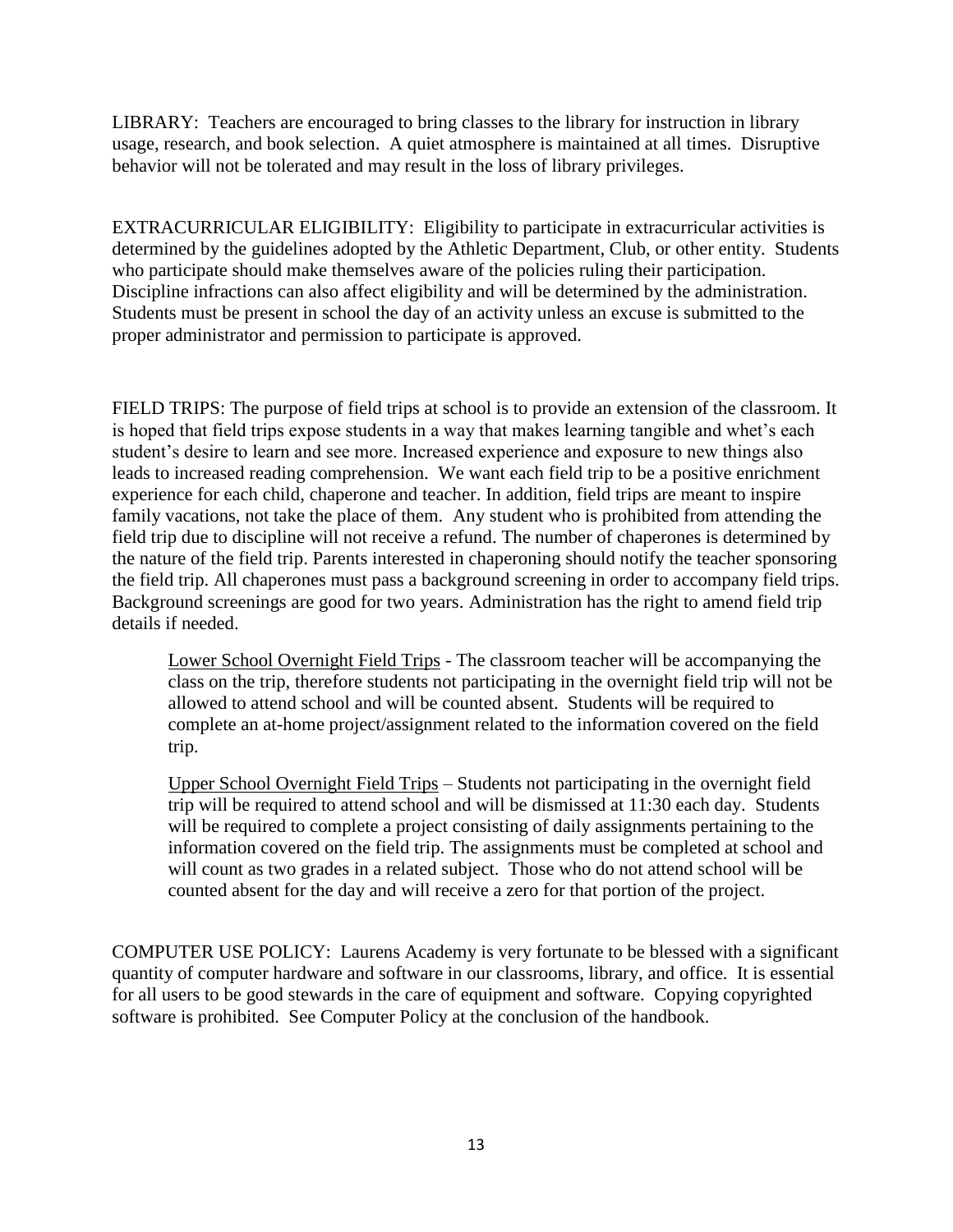LIBRARY: Teachers are encouraged to bring classes to the library for instruction in library usage, research, and book selection. A quiet atmosphere is maintained at all times. Disruptive behavior will not be tolerated and may result in the loss of library privileges.

EXTRACURRICULAR ELIGIBILITY: Eligibility to participate in extracurricular activities is determined by the guidelines adopted by the Athletic Department, Club, or other entity. Students who participate should make themselves aware of the policies ruling their participation. Discipline infractions can also affect eligibility and will be determined by the administration. Students must be present in school the day of an activity unless an excuse is submitted to the proper administrator and permission to participate is approved.

FIELD TRIPS: The purpose of field trips at school is to provide an extension of the classroom. It is hoped that field trips expose students in a way that makes learning tangible and whet's each student's desire to learn and see more. Increased experience and exposure to new things also leads to increased reading comprehension. We want each field trip to be a positive enrichment experience for each child, chaperone and teacher. In addition, field trips are meant to inspire family vacations, not take the place of them. Any student who is prohibited from attending the field trip due to discipline will not receive a refund. The number of chaperones is determined by the nature of the field trip. Parents interested in chaperoning should notify the teacher sponsoring the field trip. All chaperones must pass a background screening in order to accompany field trips. Background screenings are good for two years. Administration has the right to amend field trip details if needed.

Lower School Overnight Field Trips - The classroom teacher will be accompanying the class on the trip, therefore students not participating in the overnight field trip will not be allowed to attend school and will be counted absent. Students will be required to complete an at-home project/assignment related to the information covered on the field trip.

Upper School Overnight Field Trips – Students not participating in the overnight field trip will be required to attend school and will be dismissed at 11:30 each day. Students will be required to complete a project consisting of daily assignments pertaining to the information covered on the field trip. The assignments must be completed at school and will count as two grades in a related subject. Those who do not attend school will be counted absent for the day and will receive a zero for that portion of the project.

COMPUTER USE POLICY: Laurens Academy is very fortunate to be blessed with a significant quantity of computer hardware and software in our classrooms, library, and office. It is essential for all users to be good stewards in the care of equipment and software. Copying copyrighted software is prohibited. See Computer Policy at the conclusion of the handbook.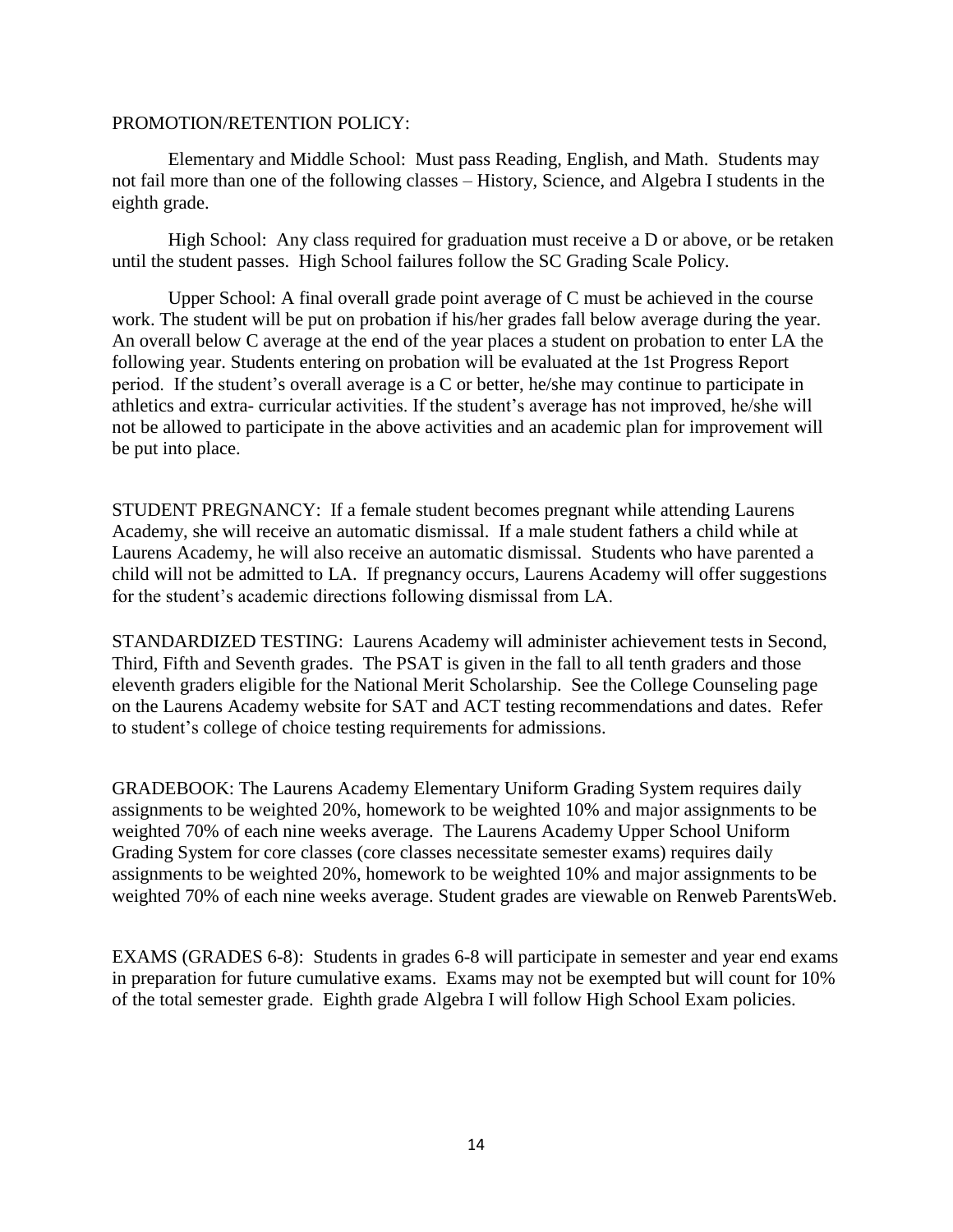#### PROMOTION/RETENTION POLICY:

Elementary and Middle School: Must pass Reading, English, and Math. Students may not fail more than one of the following classes – History, Science, and Algebra I students in the eighth grade.

High School: Any class required for graduation must receive a D or above, or be retaken until the student passes. High School failures follow the SC Grading Scale Policy.

Upper School: A final overall grade point average of C must be achieved in the course work. The student will be put on probation if his/her grades fall below average during the year. An overall below C average at the end of the year places a student on probation to enter LA the following year. Students entering on probation will be evaluated at the 1st Progress Report period. If the student's overall average is a C or better, he/she may continue to participate in athletics and extra- curricular activities. If the student's average has not improved, he/she will not be allowed to participate in the above activities and an academic plan for improvement will be put into place.

STUDENT PREGNANCY: If a female student becomes pregnant while attending Laurens Academy, she will receive an automatic dismissal. If a male student fathers a child while at Laurens Academy, he will also receive an automatic dismissal. Students who have parented a child will not be admitted to LA. If pregnancy occurs, Laurens Academy will offer suggestions for the student's academic directions following dismissal from LA.

STANDARDIZED TESTING: Laurens Academy will administer achievement tests in Second, Third, Fifth and Seventh grades. The PSAT is given in the fall to all tenth graders and those eleventh graders eligible for the National Merit Scholarship. See the College Counseling page on the Laurens Academy website for SAT and ACT testing recommendations and dates. Refer to student's college of choice testing requirements for admissions.

GRADEBOOK: The Laurens Academy Elementary Uniform Grading System requires daily assignments to be weighted 20%, homework to be weighted 10% and major assignments to be weighted 70% of each nine weeks average. The Laurens Academy Upper School Uniform Grading System for core classes (core classes necessitate semester exams) requires daily assignments to be weighted 20%, homework to be weighted 10% and major assignments to be weighted 70% of each nine weeks average. Student grades are viewable on Renweb ParentsWeb.

EXAMS (GRADES 6-8): Students in grades 6-8 will participate in semester and year end exams in preparation for future cumulative exams. Exams may not be exempted but will count for 10% of the total semester grade. Eighth grade Algebra I will follow High School Exam policies.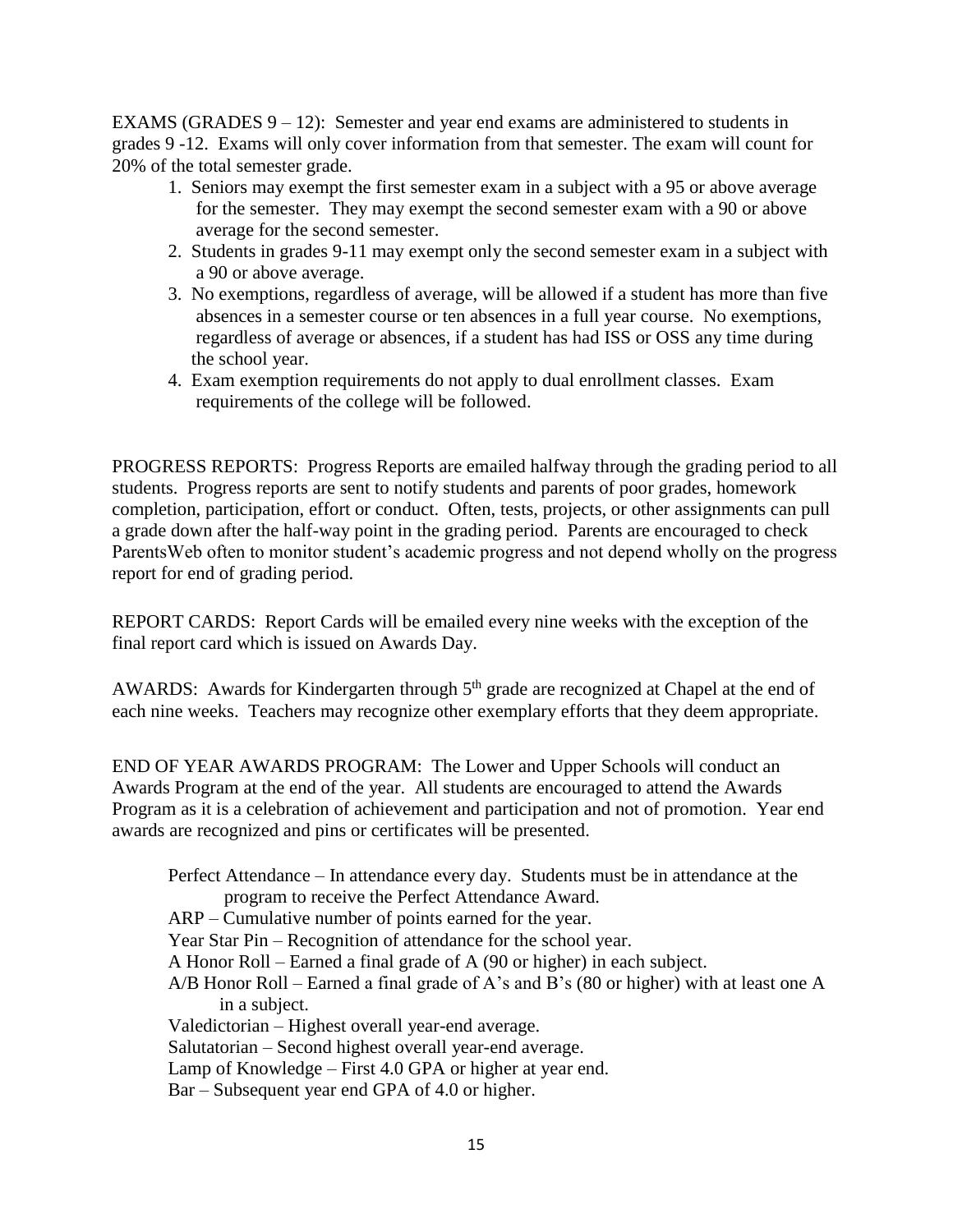EXAMS (GRADES  $9 - 12$ ): Semester and year end exams are administered to students in grades 9 -12. Exams will only cover information from that semester. The exam will count for 20% of the total semester grade.

- 1. Seniors may exempt the first semester exam in a subject with a 95 or above average for the semester. They may exempt the second semester exam with a 90 or above average for the second semester.
- 2. Students in grades 9-11 may exempt only the second semester exam in a subject with a 90 or above average.
- 3. No exemptions, regardless of average, will be allowed if a student has more than five absences in a semester course or ten absences in a full year course. No exemptions, regardless of average or absences, if a student has had ISS or OSS any time during the school year.
- 4. Exam exemption requirements do not apply to dual enrollment classes. Exam requirements of the college will be followed.

PROGRESS REPORTS: Progress Reports are emailed halfway through the grading period to all students. Progress reports are sent to notify students and parents of poor grades, homework completion, participation, effort or conduct. Often, tests, projects, or other assignments can pull a grade down after the half-way point in the grading period. Parents are encouraged to check ParentsWeb often to monitor student's academic progress and not depend wholly on the progress report for end of grading period.

REPORT CARDS: Report Cards will be emailed every nine weeks with the exception of the final report card which is issued on Awards Day.

AWARDS: Awards for Kindergarten through  $5<sup>th</sup>$  grade are recognized at Chapel at the end of each nine weeks. Teachers may recognize other exemplary efforts that they deem appropriate.

END OF YEAR AWARDS PROGRAM: The Lower and Upper Schools will conduct an Awards Program at the end of the year. All students are encouraged to attend the Awards Program as it is a celebration of achievement and participation and not of promotion. Year end awards are recognized and pins or certificates will be presented.

Perfect Attendance – In attendance every day. Students must be in attendance at the program to receive the Perfect Attendance Award. ARP – Cumulative number of points earned for the year. Year Star Pin – Recognition of attendance for the school year. A Honor Roll – Earned a final grade of A (90 or higher) in each subject. A/B Honor Roll – Earned a final grade of A's and B's (80 or higher) with at least one A in a subject. Valedictorian – Highest overall year-end average. Salutatorian – Second highest overall year-end average. Lamp of Knowledge – First 4.0 GPA or higher at year end. Bar – Subsequent year end GPA of 4.0 or higher.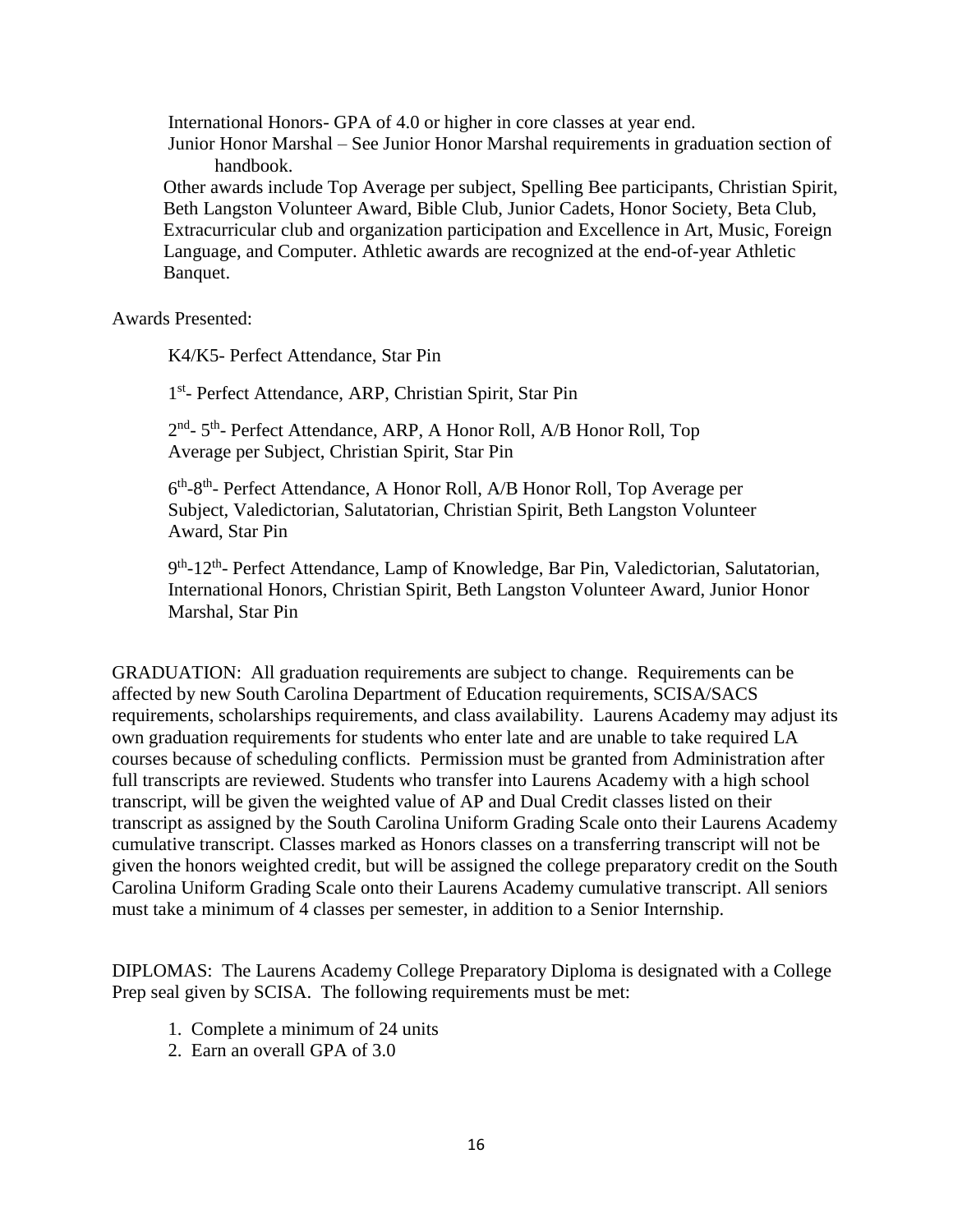International Honors- GPA of 4.0 or higher in core classes at year end.

Junior Honor Marshal – See Junior Honor Marshal requirements in graduation section of handbook.

 Other awards include Top Average per subject, Spelling Bee participants, Christian Spirit, Beth Langston Volunteer Award, Bible Club, Junior Cadets, Honor Society, Beta Club, Extracurricular club and organization participation and Excellence in Art, Music, Foreign Language, and Computer. Athletic awards are recognized at the end-of-year Athletic Banquet.

Awards Presented:

K4/K5- Perfect Attendance, Star Pin

1<sup>st</sup>- Perfect Attendance, ARP, Christian Spirit, Star Pin

2<sup>nd</sup>- 5<sup>th</sup>- Perfect Attendance, ARP, A Honor Roll, A/B Honor Roll, Top Average per Subject, Christian Spirit, Star Pin

6<sup>th</sup>-8<sup>th</sup>- Perfect Attendance, A Honor Roll, A/B Honor Roll, Top Average per Subject, Valedictorian, Salutatorian, Christian Spirit, Beth Langston Volunteer Award, Star Pin

9<sup>th</sup>-12<sup>th</sup>- Perfect Attendance, Lamp of Knowledge, Bar Pin, Valedictorian, Salutatorian, International Honors, Christian Spirit, Beth Langston Volunteer Award, Junior Honor Marshal, Star Pin

GRADUATION: All graduation requirements are subject to change. Requirements can be affected by new South Carolina Department of Education requirements, SCISA/SACS requirements, scholarships requirements, and class availability. Laurens Academy may adjust its own graduation requirements for students who enter late and are unable to take required LA courses because of scheduling conflicts. Permission must be granted from Administration after full transcripts are reviewed. Students who transfer into Laurens Academy with a high school transcript, will be given the weighted value of AP and Dual Credit classes listed on their transcript as assigned by the South Carolina Uniform Grading Scale onto their Laurens Academy cumulative transcript. Classes marked as Honors classes on a transferring transcript will not be given the honors weighted credit, but will be assigned the college preparatory credit on the South Carolina Uniform Grading Scale onto their Laurens Academy cumulative transcript. All seniors must take a minimum of 4 classes per semester, in addition to a Senior Internship.

DIPLOMAS: The Laurens Academy College Preparatory Diploma is designated with a College Prep seal given by SCISA. The following requirements must be met:

- 1. Complete a minimum of 24 units
- 2. Earn an overall GPA of 3.0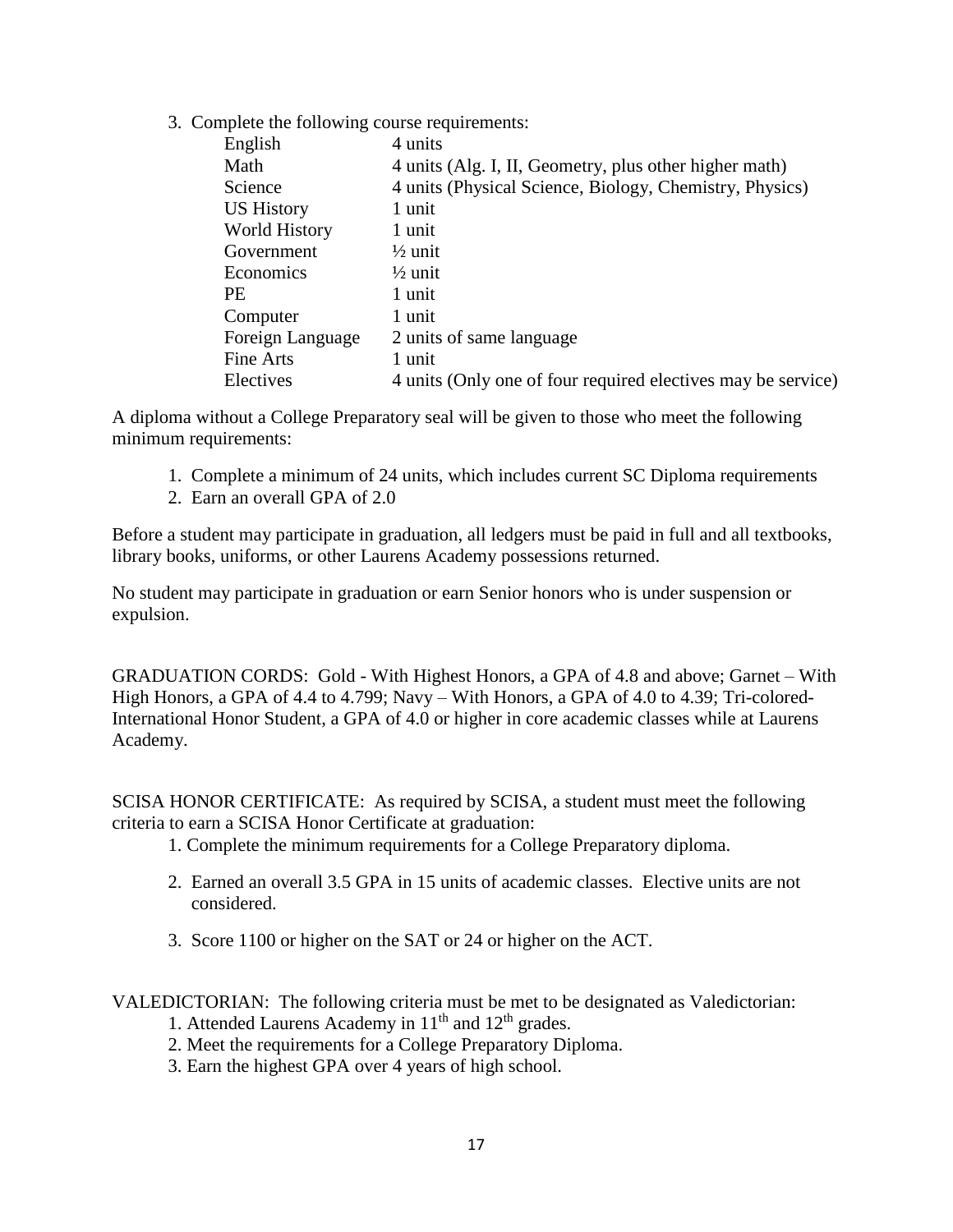3. Complete the following course requirements:

| English              | 4 units                                                      |
|----------------------|--------------------------------------------------------------|
| Math                 | 4 units (Alg. I, II, Geometry, plus other higher math)       |
| Science              | 4 units (Physical Science, Biology, Chemistry, Physics)      |
| <b>US History</b>    | 1 unit                                                       |
| <b>World History</b> | 1 unit                                                       |
| Government           | $\frac{1}{2}$ unit                                           |
| Economics            | $\frac{1}{2}$ unit                                           |
| <b>PE</b>            | 1 unit                                                       |
| Computer             | 1 unit                                                       |
| Foreign Language     | 2 units of same language                                     |
| Fine Arts            | 1 unit                                                       |
| Electives            | 4 units (Only one of four required electives may be service) |

A diploma without a College Preparatory seal will be given to those who meet the following minimum requirements:

- 1. Complete a minimum of 24 units, which includes current SC Diploma requirements
- 2. Earn an overall GPA of 2.0

Before a student may participate in graduation, all ledgers must be paid in full and all textbooks, library books, uniforms, or other Laurens Academy possessions returned.

No student may participate in graduation or earn Senior honors who is under suspension or expulsion.

GRADUATION CORDS: Gold - With Highest Honors, a GPA of 4.8 and above; Garnet – With High Honors, a GPA of 4.4 to 4.799; Navy – With Honors, a GPA of 4.0 to 4.39; Tri-colored-International Honor Student, a GPA of 4.0 or higher in core academic classes while at Laurens Academy.

SCISA HONOR CERTIFICATE: As required by SCISA, a student must meet the following criteria to earn a SCISA Honor Certificate at graduation:

- 1. Complete the minimum requirements for a College Preparatory diploma.
- 2. Earned an overall 3.5 GPA in 15 units of academic classes. Elective units are not considered.
- 3. Score 1100 or higher on the SAT or 24 or higher on the ACT.

VALEDICTORIAN: The following criteria must be met to be designated as Valedictorian:

- 1. Attended Laurens Academy in  $11<sup>th</sup>$  and  $12<sup>th</sup>$  grades.
- 2. Meet the requirements for a College Preparatory Diploma.
- 3. Earn the highest GPA over 4 years of high school.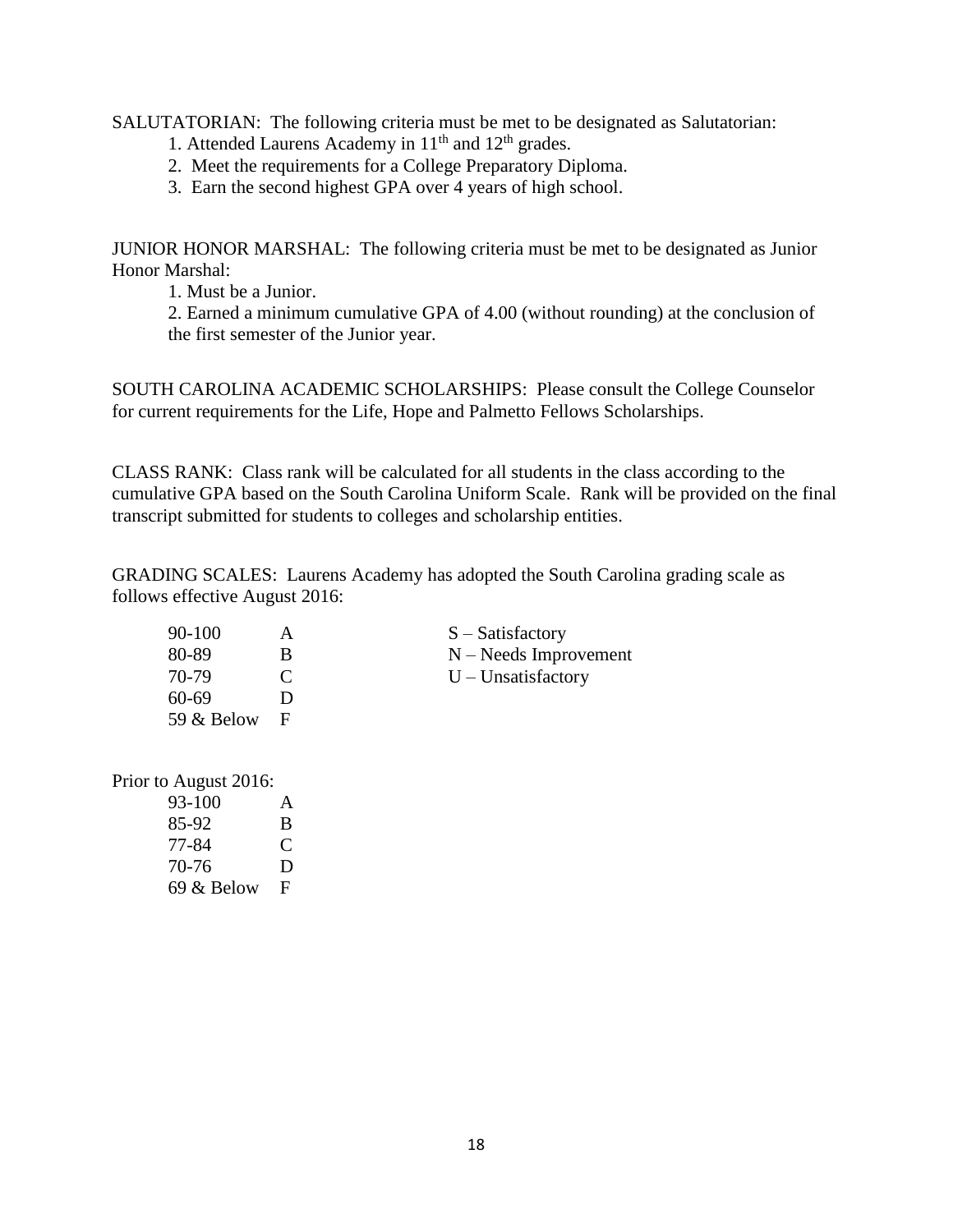SALUTATORIAN: The following criteria must be met to be designated as Salutatorian:

- 1. Attended Laurens Academy in  $11<sup>th</sup>$  and  $12<sup>th</sup>$  grades.
- 2. Meet the requirements for a College Preparatory Diploma.
- 3. Earn the second highest GPA over 4 years of high school.

JUNIOR HONOR MARSHAL: The following criteria must be met to be designated as Junior Honor Marshal:

1. Must be a Junior.

2. Earned a minimum cumulative GPA of 4.00 (without rounding) at the conclusion of the first semester of the Junior year.

SOUTH CAROLINA ACADEMIC SCHOLARSHIPS: Please consult the College Counselor for current requirements for the Life, Hope and Palmetto Fellows Scholarships.

CLASS RANK: Class rank will be calculated for all students in the class according to the cumulative GPA based on the South Carolina Uniform Scale. Rank will be provided on the final transcript submitted for students to colleges and scholarship entities.

GRADING SCALES: Laurens Academy has adopted the South Carolina grading scale as follows effective August 2016:

| 90-100     |               | $S - Satisfactory$      |
|------------|---------------|-------------------------|
| 80-89      | В             | $N - Needs$ Improvement |
| 70-79      | $\mathcal{C}$ | $U$ – Unsatisfactory    |
| 60-69      |               |                         |
| 59 & Below | н             |                         |

Prior to August 2016:

| 93-100     | A |
|------------|---|
| 85-92      | B |
| 77-84      | € |
| 70-76      | D |
| 69 & Below | F |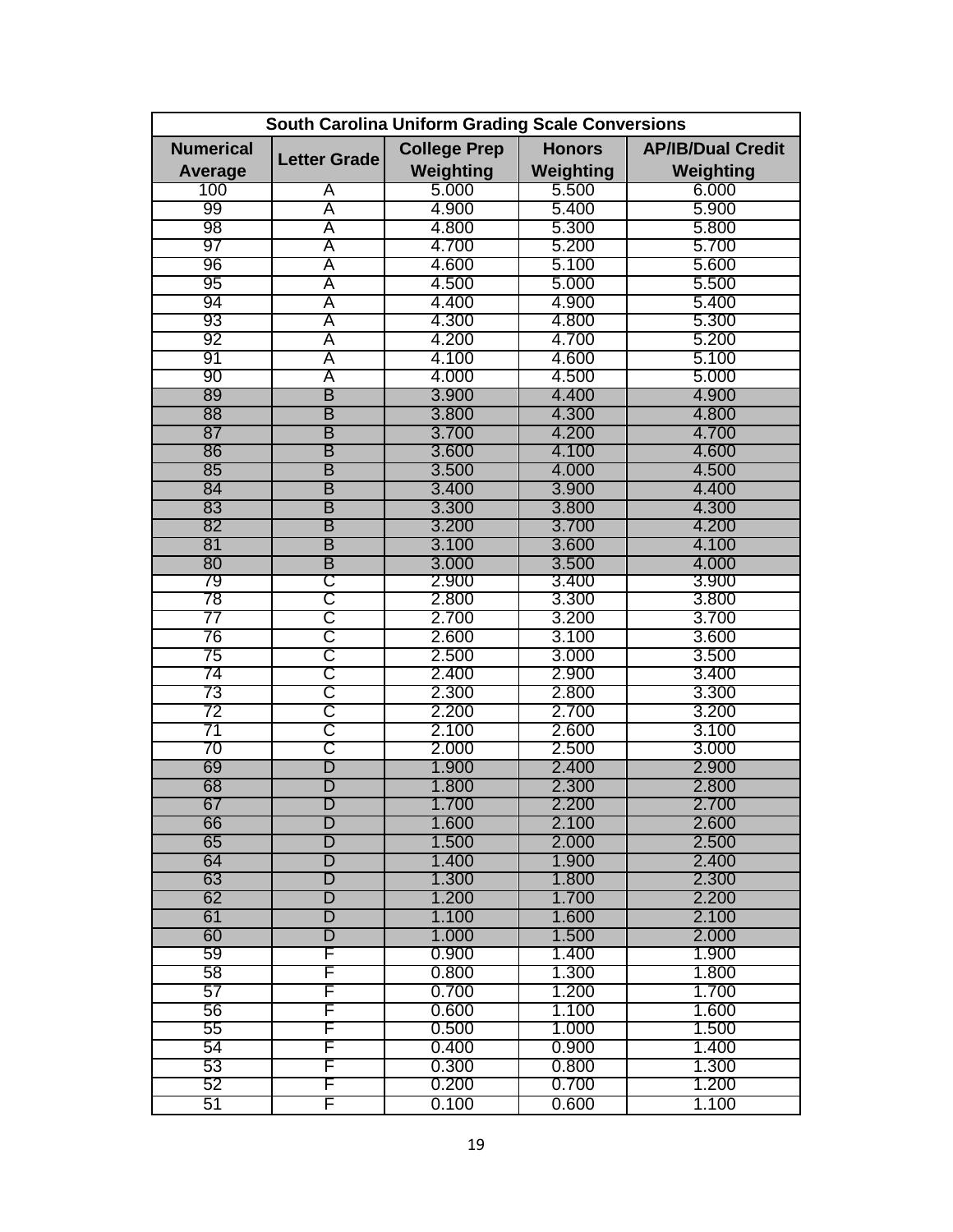| <b>South Carolina Uniform Grading Scale Conversions</b> |                         |                     |               |                          |
|---------------------------------------------------------|-------------------------|---------------------|---------------|--------------------------|
| <b>Numerical</b>                                        |                         | <b>College Prep</b> | <b>Honors</b> | <b>AP/IB/Dual Credit</b> |
| <b>Average</b>                                          | <b>Letter Grade</b>     | Weighting           | Weighting     | Weighting                |
| 100                                                     | A                       | 5.000               | 5.500         | 6.000                    |
| 99                                                      | A                       | 4.900               | 5.400         | 5.900                    |
| 98                                                      | A                       | 4.800               | 5.300         | 5.800                    |
| 97                                                      | A                       | 4.700               | 5.200         | 5.700                    |
| 96                                                      | A                       | 4.600               | 5.100         | 5.600                    |
| 95                                                      | A                       | 4.500               | 5.000         | 5.500                    |
| 94                                                      | A                       | 4.400               | 4.900         | 5.400                    |
| 93                                                      | A                       | 4.300               | 4.800         | 5.300                    |
| 92                                                      | A                       | 4.200               | 4.700         | 5.200                    |
| 91                                                      | A                       | 4.100               | 4.600         | 5.100                    |
| 90                                                      | A                       | 4.000               | 4.500         | 5.000                    |
| 89                                                      | B                       | 3.900               | 4.400         | 4.900                    |
| 88                                                      | В                       | 3.800               | 4.300         | 4.800                    |
| 87                                                      | В                       | 3.700               | 4.200         | 4.700                    |
| 86                                                      | В                       | 3.600               | 4.100         | 4.600                    |
| 85                                                      | В                       | 3.500               | 4.000         | 4.500                    |
| 84                                                      | В                       | 3.400               | 3.900         | 4.400                    |
| 83                                                      | В                       | 3.300               | 3.800         | 4.300                    |
| 82                                                      | В                       | 3.200               | 3.700         | 4.200                    |
| 81                                                      | В                       | 3.100               | 3.600         | 4.100                    |
| 80                                                      | B                       | 3.000               | 3.500         | 4.000                    |
| 79                                                      | C                       | 2.900               | 3.400         | 3.900                    |
| 78                                                      | C                       | 2.800               | 3.300         | 3.800                    |
| 77                                                      | C                       | 2.700               | 3.200         | 3.700                    |
| 76                                                      | C                       | 2.600               | 3.100         | 3.600                    |
| 75                                                      | C                       | 2.500               | 3.000         | 3.500                    |
| 74                                                      | C                       | 2.400               | 2.900         | 3.400                    |
| 73                                                      | C                       | 2.300               | 2.800         | 3.300                    |
| 72                                                      | C                       | 2.200               | 2.700         | 3.200                    |
| 71                                                      | C                       | 2.100               | 2.600         | 3.100                    |
| 70                                                      | C                       | 2.000               | 2.500         | 3.000                    |
| 69                                                      | D                       | 1.900               | 2.400         | 2.900                    |
| 68                                                      | D                       | 1.800               | 2.300         | 2.800                    |
| 67                                                      | D                       | 1.700               | 2.200         | 2.700                    |
| 66                                                      | D                       | 1.600               | 2.100         | 2.600                    |
| 65                                                      | D                       | 1.500               | 2.000         | 2.500                    |
| 64                                                      | $\overline{\mathsf{D}}$ | 1.400               | 1.900         | 2.400                    |
| 63                                                      | $\overline{\mathsf{D}}$ | 1.300               | 1.800         | 2.300                    |
| 62                                                      | $\overline{\mathsf{D}}$ | 1.200               | 1.700         | 2.200                    |
| 61                                                      | $\overline{\mathsf{D}}$ | 1.100               | 1.600         | 2.100                    |
| 60                                                      | D                       | 1.000               | 1.500         | 2.000                    |
| 59                                                      | F                       | 0.900               | 1.400         | 1.900                    |
| 58                                                      | F                       | 0.800               | 1.300         | 1.800                    |
| 57                                                      | F                       | 0.700               | 1.200         | 1.700                    |
| 56                                                      | F                       | 0.600               | 1.100         | 1.600                    |
| 55                                                      | F                       | 0.500               | 1.000         | 1.500                    |
| 54                                                      | F                       | 0.400               | 0.900         | 1.400                    |
| 53                                                      | F                       | 0.300               | 0.800         | 1.300                    |
| 52                                                      | F                       | 0.200               | 0.700         | 1.200                    |
| 51                                                      | F                       | 0.100               | 0.600         | 1.100                    |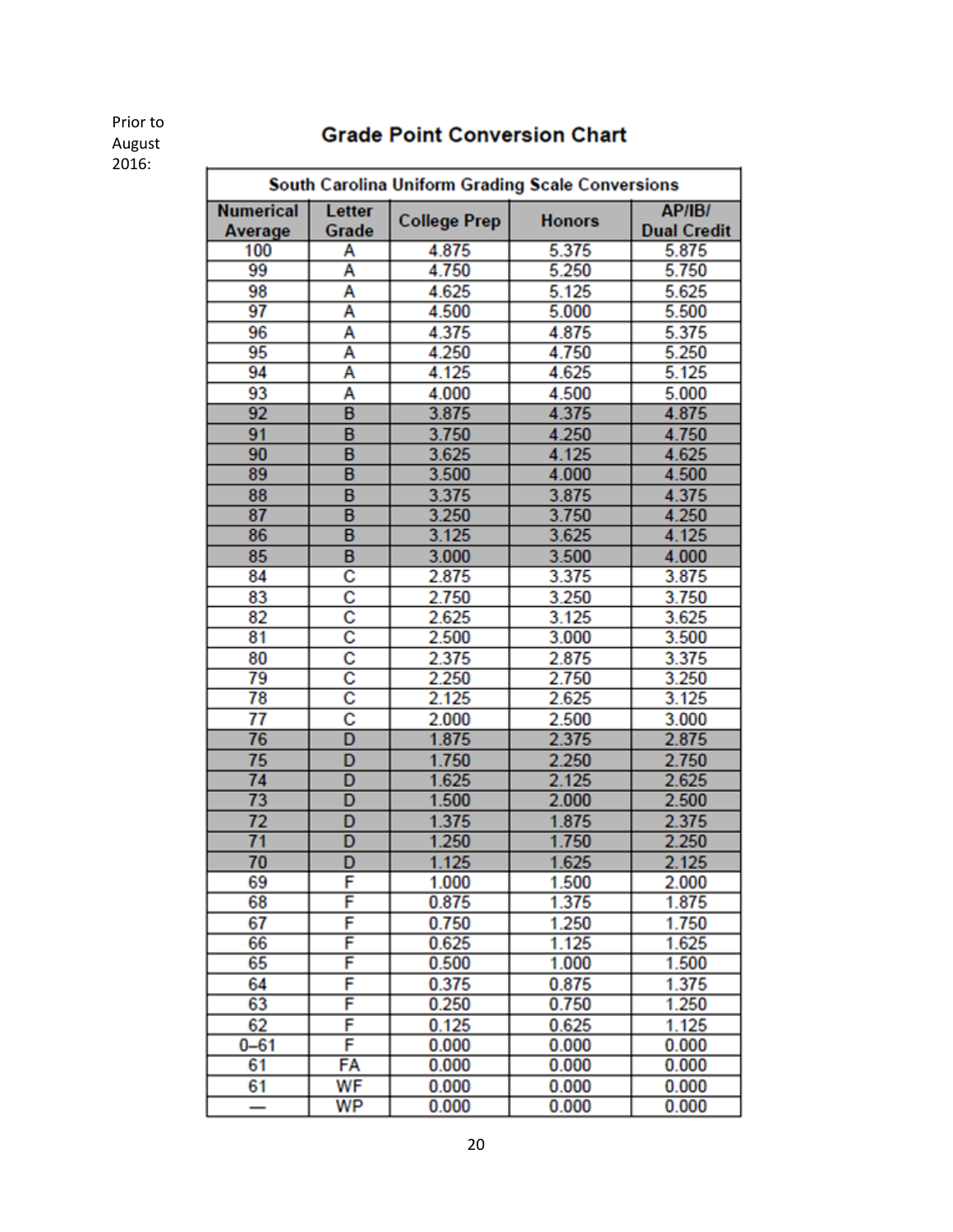# **Grade Point Conversion Chart**

Prior to August 2016:

| South Carolina Uniform Grading Scale Conversions |                       |                     |               |                                     |
|--------------------------------------------------|-----------------------|---------------------|---------------|-------------------------------------|
| <b>Numerical</b><br>Average                      | Letter<br>Grade       | <b>College Prep</b> | <b>Honors</b> | <b>AP/IB/</b><br><b>Dual Credit</b> |
| 100                                              | A                     | 4.875               | 5.375         | 5.875                               |
| 99                                               | A                     | 4.750               | 5.250         | 5.750                               |
| 98                                               | A                     | 4.625               | 5.125         | 5.625                               |
| 97                                               | A                     | 4.500               | 5.000         | 5.500                               |
| 96                                               | A                     | 4.375               | 4.875         | 5.375                               |
| 95                                               | Ā                     | 4.250               | 4.750         | 5.250                               |
| 94                                               | A                     | 4.125               | 4.625         | 5.125                               |
| 93                                               | A                     | 4.000               | 4.500         | 5.000                               |
| 92                                               | B                     | 3.875               | 4.375         | 4.875                               |
| 91                                               | B                     | 3.750               | 4.250         | 4.750                               |
| 90                                               | B                     | 3.625               | 4.125         | 4.625                               |
| 89                                               | B                     | 3.500               | 4.000         | 4.500                               |
| 88                                               | B                     | 3.375               | 3.875         | 4.375                               |
| 87                                               | B                     | 3.250               | 3.750         | 4.250                               |
| 86                                               | B                     | 3.125               | 3.625         | 4.125                               |
| 85                                               | B                     | 3.000               | 3.500         | 4.000                               |
| 84                                               | $\overline{\text{c}}$ | 2.875               | 3.375         | 3.875                               |
| 83                                               | c                     | 2.750               | 3.250         | 3.750                               |
| 82                                               | $\overline{\text{c}}$ | 2.625               | 3.125         | 3.625                               |
| 81                                               | $\overline{\text{c}}$ | 2.500               | 3.000         | 3.500                               |
| 80                                               | c                     | 2.375               | 2.875         | 3.375                               |
| 79                                               | $\overline{\text{c}}$ | 2.250               | 2.750         | 3.250                               |
| 78                                               | $\overline{\text{c}}$ | 2.125               | 2.625         | 3.125                               |
| 77                                               | c                     | 2.000               | 2.500         | 3.000                               |
| 76                                               | D                     | 1.875               | 2.375         | 2.875                               |
| $\overline{75}$                                  | D                     | 1.750               | 2.250         | 2.750                               |
| 74                                               | D                     | 1.625               | 2.125         | 2.625                               |
| 73                                               | D                     | 1.500               | 2.000         | 2.500                               |
| 72                                               | D                     | 1.375               | 1.875         | 2.375                               |
| $\overline{71}$                                  | D                     | 1.250               | 1.750         | 2.250                               |
| 70                                               | D                     | 1.125               | 1.625         | 2.125                               |
| 69                                               | F                     | 1.000               | 1.500         | 2.000                               |
| 68                                               | F                     | 0.875               | 1.375         | 1.875                               |
| 67                                               | F                     | 0.750               | 1.250         | 1.750                               |
| 66                                               | F                     | 0.625               | 1.125         | 1.625                               |
| 65                                               | F                     | 0.500               | 1.000         | 1.500                               |
| 64                                               | F                     | 0.375               | 0.875         | 1.375                               |
| 63                                               | F                     | 0.250               | 0.750         | 1.250                               |
| 62                                               | F                     | 0.125               | 0.625         | 1.125                               |
| $0 - 61$                                         | F                     | 0.000               | 0.000         | 0.000                               |
| 61                                               | FA                    | 0.000               | 0.000         | 0.000                               |
| 61                                               | WF                    | 0.000               | 0.000         | 0.000                               |
| —                                                | <b>WP</b>             | 0.000               | 0.000         | 0.000                               |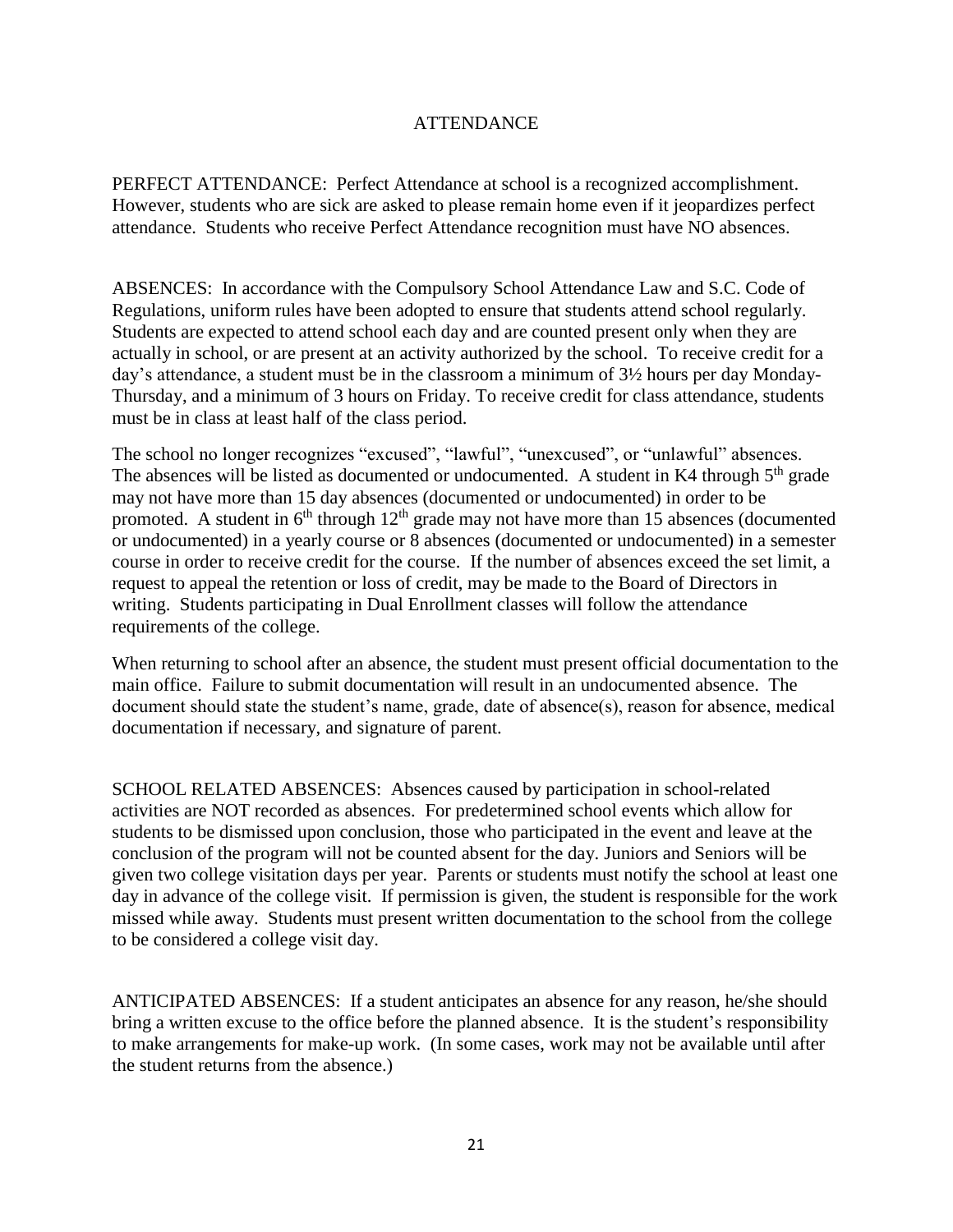## ATTENDANCE

PERFECT ATTENDANCE: Perfect Attendance at school is a recognized accomplishment. However, students who are sick are asked to please remain home even if it jeopardizes perfect attendance. Students who receive Perfect Attendance recognition must have NO absences.

ABSENCES: In accordance with the Compulsory School Attendance Law and S.C. Code of Regulations, uniform rules have been adopted to ensure that students attend school regularly. Students are expected to attend school each day and are counted present only when they are actually in school, or are present at an activity authorized by the school. To receive credit for a day's attendance, a student must be in the classroom a minimum of 3½ hours per day Monday-Thursday, and a minimum of 3 hours on Friday. To receive credit for class attendance, students must be in class at least half of the class period.

The school no longer recognizes "excused", "lawful", "unexcused", or "unlawful" absences. The absences will be listed as documented or undocumented. A student in K4 through  $5<sup>th</sup>$  grade may not have more than 15 day absences (documented or undocumented) in order to be promoted. A student in  $6<sup>th</sup>$  through  $12<sup>th</sup>$  grade may not have more than  $15$  absences (documented or undocumented) in a yearly course or 8 absences (documented or undocumented) in a semester course in order to receive credit for the course. If the number of absences exceed the set limit, a request to appeal the retention or loss of credit, may be made to the Board of Directors in writing. Students participating in Dual Enrollment classes will follow the attendance requirements of the college.

When returning to school after an absence, the student must present official documentation to the main office. Failure to submit documentation will result in an undocumented absence. The document should state the student's name, grade, date of absence(s), reason for absence, medical documentation if necessary, and signature of parent.

SCHOOL RELATED ABSENCES: Absences caused by participation in school-related activities are NOT recorded as absences. For predetermined school events which allow for students to be dismissed upon conclusion, those who participated in the event and leave at the conclusion of the program will not be counted absent for the day. Juniors and Seniors will be given two college visitation days per year. Parents or students must notify the school at least one day in advance of the college visit. If permission is given, the student is responsible for the work missed while away. Students must present written documentation to the school from the college to be considered a college visit day.

ANTICIPATED ABSENCES: If a student anticipates an absence for any reason, he/she should bring a written excuse to the office before the planned absence. It is the student's responsibility to make arrangements for make-up work. (In some cases, work may not be available until after the student returns from the absence.)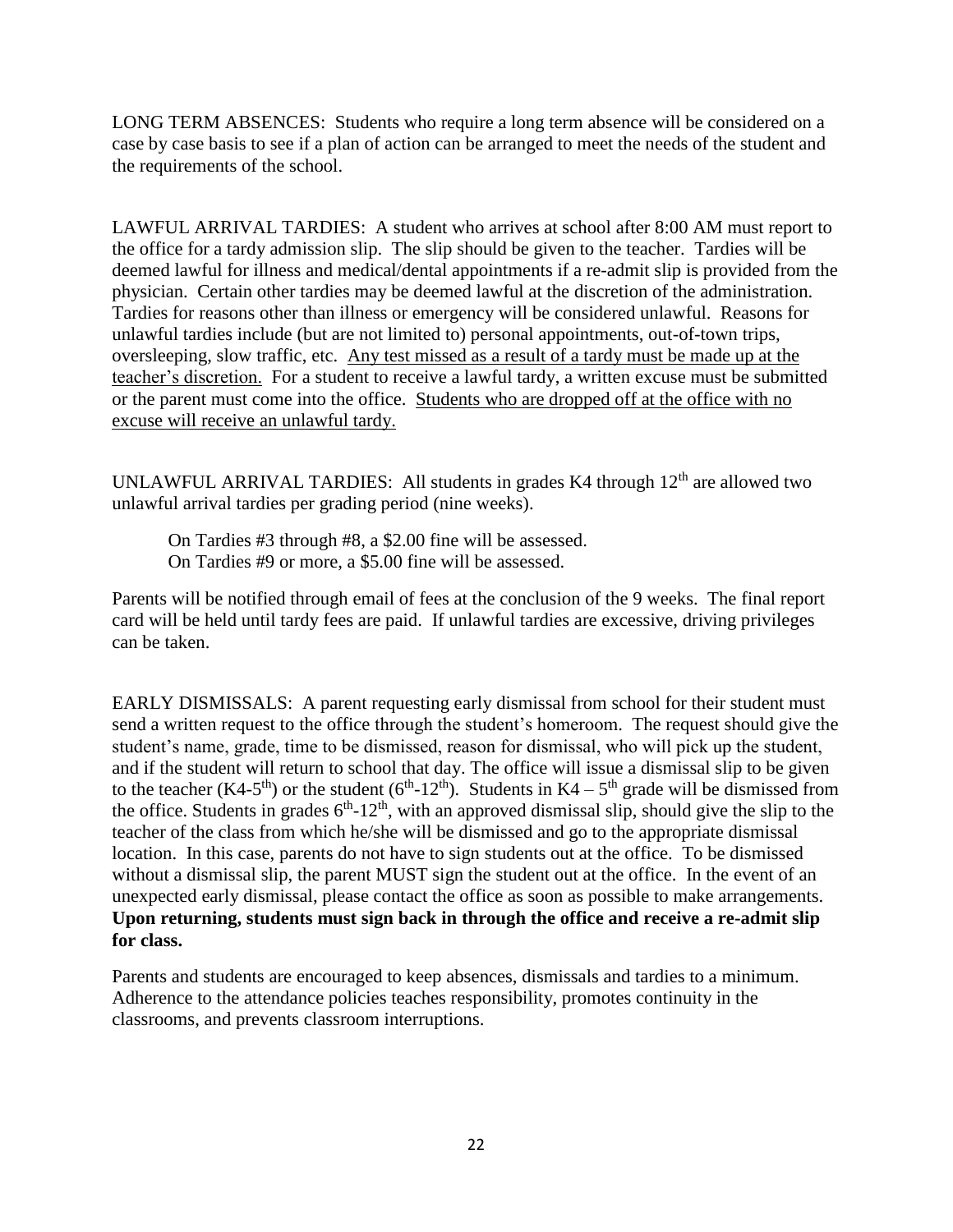LONG TERM ABSENCES: Students who require a long term absence will be considered on a case by case basis to see if a plan of action can be arranged to meet the needs of the student and the requirements of the school.

LAWFUL ARRIVAL TARDIES: A student who arrives at school after 8:00 AM must report to the office for a tardy admission slip. The slip should be given to the teacher. Tardies will be deemed lawful for illness and medical/dental appointments if a re-admit slip is provided from the physician. Certain other tardies may be deemed lawful at the discretion of the administration. Tardies for reasons other than illness or emergency will be considered unlawful. Reasons for unlawful tardies include (but are not limited to) personal appointments, out-of-town trips, oversleeping, slow traffic, etc. Any test missed as a result of a tardy must be made up at the teacher's discretion. For a student to receive a lawful tardy, a written excuse must be submitted or the parent must come into the office. Students who are dropped off at the office with no excuse will receive an unlawful tardy.

UNLAWFUL ARRIVAL TARDIES: All students in grades  $K4$  through  $12<sup>th</sup>$  are allowed two unlawful arrival tardies per grading period (nine weeks).

On Tardies #3 through #8, a \$2.00 fine will be assessed. On Tardies #9 or more, a \$5.00 fine will be assessed.

Parents will be notified through email of fees at the conclusion of the 9 weeks. The final report card will be held until tardy fees are paid. If unlawful tardies are excessive, driving privileges can be taken.

EARLY DISMISSALS: A parent requesting early dismissal from school for their student must send a written request to the office through the student's homeroom. The request should give the student's name, grade, time to be dismissed, reason for dismissal, who will pick up the student, and if the student will return to school that day. The office will issue a dismissal slip to be given to the teacher (K4-5<sup>th</sup>) or the student ( $6<sup>th</sup>$ -12<sup>th</sup>). Students in K4 – 5<sup>th</sup> grade will be dismissed from the office. Students in grades  $6<sup>th</sup>$ -12<sup>th</sup>, with an approved dismissal slip, should give the slip to the teacher of the class from which he/she will be dismissed and go to the appropriate dismissal location. In this case, parents do not have to sign students out at the office. To be dismissed without a dismissal slip, the parent MUST sign the student out at the office. In the event of an unexpected early dismissal, please contact the office as soon as possible to make arrangements. **Upon returning, students must sign back in through the office and receive a re-admit slip for class.**

Parents and students are encouraged to keep absences, dismissals and tardies to a minimum. Adherence to the attendance policies teaches responsibility, promotes continuity in the classrooms, and prevents classroom interruptions.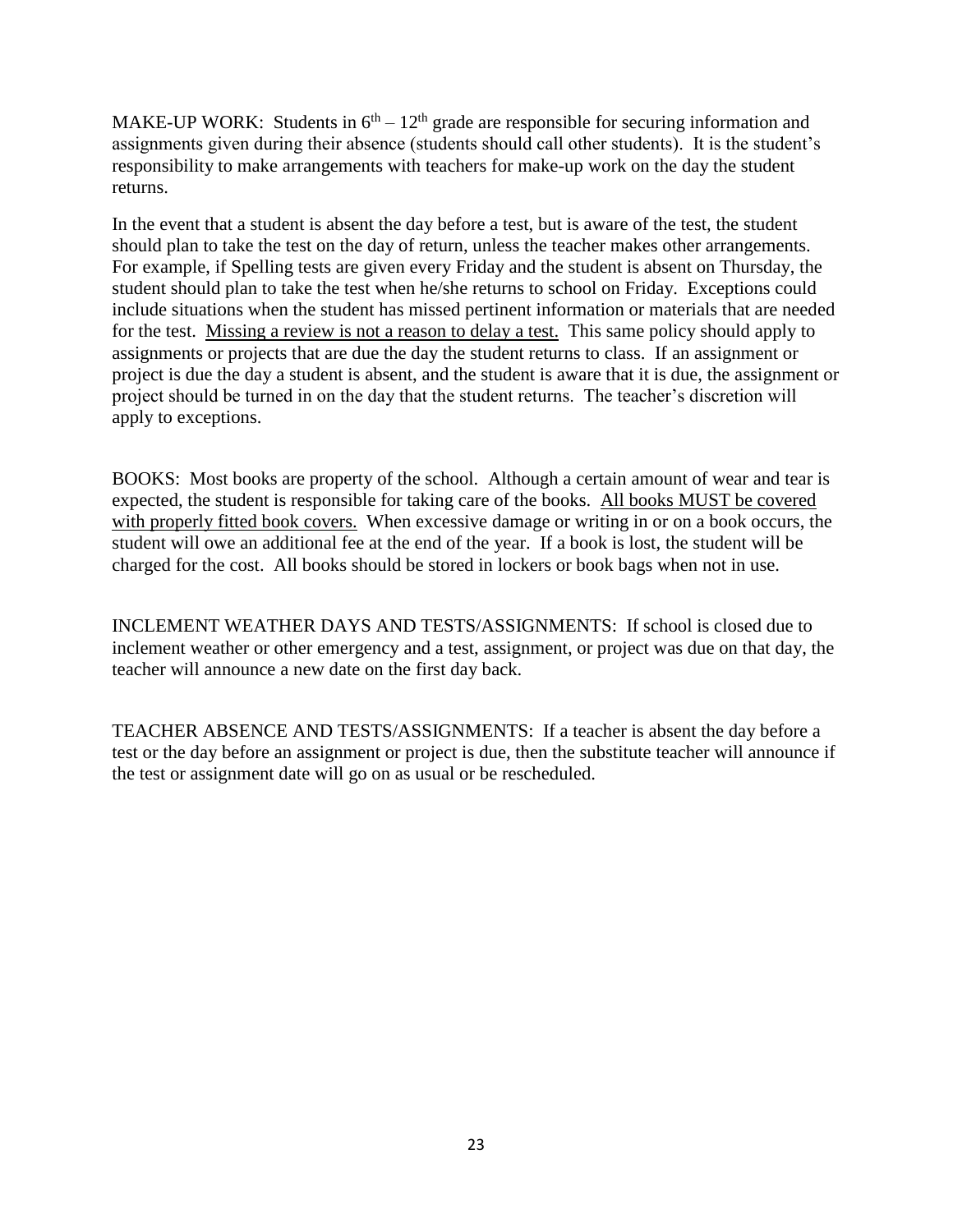MAKE-UP WORK: Students in  $6<sup>th</sup> - 12<sup>th</sup>$  grade are responsible for securing information and assignments given during their absence (students should call other students). It is the student's responsibility to make arrangements with teachers for make-up work on the day the student returns.

In the event that a student is absent the day before a test, but is aware of the test, the student should plan to take the test on the day of return, unless the teacher makes other arrangements. For example, if Spelling tests are given every Friday and the student is absent on Thursday, the student should plan to take the test when he/she returns to school on Friday. Exceptions could include situations when the student has missed pertinent information or materials that are needed for the test. Missing a review is not a reason to delay a test. This same policy should apply to assignments or projects that are due the day the student returns to class. If an assignment or project is due the day a student is absent, and the student is aware that it is due, the assignment or project should be turned in on the day that the student returns. The teacher's discretion will apply to exceptions.

BOOKS: Most books are property of the school. Although a certain amount of wear and tear is expected, the student is responsible for taking care of the books. All books MUST be covered with properly fitted book covers. When excessive damage or writing in or on a book occurs, the student will owe an additional fee at the end of the year. If a book is lost, the student will be charged for the cost. All books should be stored in lockers or book bags when not in use.

INCLEMENT WEATHER DAYS AND TESTS/ASSIGNMENTS: If school is closed due to inclement weather or other emergency and a test, assignment, or project was due on that day, the teacher will announce a new date on the first day back.

TEACHER ABSENCE AND TESTS/ASSIGNMENTS: If a teacher is absent the day before a test or the day before an assignment or project is due, then the substitute teacher will announce if the test or assignment date will go on as usual or be rescheduled.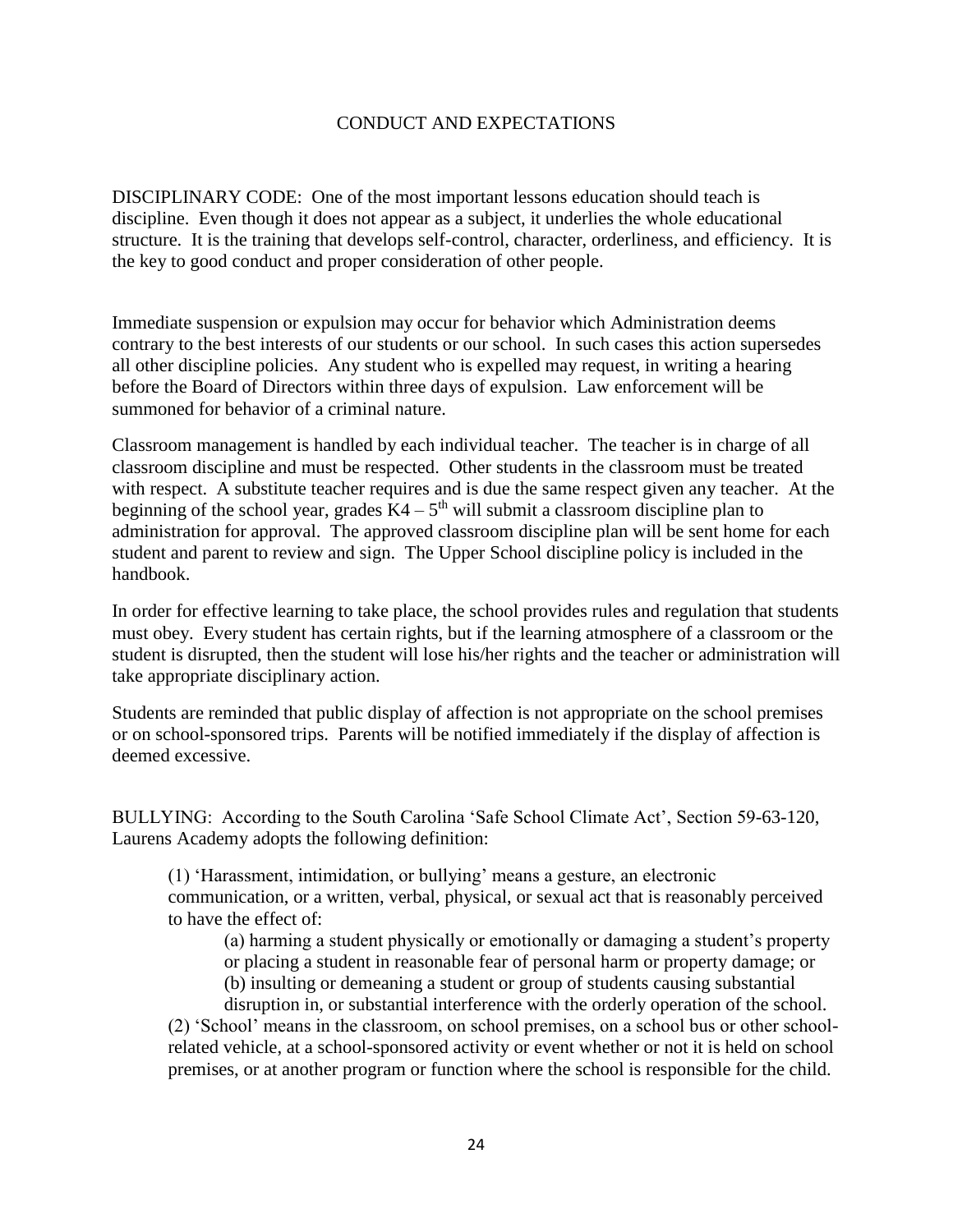## CONDUCT AND EXPECTATIONS

DISCIPLINARY CODE: One of the most important lessons education should teach is discipline. Even though it does not appear as a subject, it underlies the whole educational structure. It is the training that develops self-control, character, orderliness, and efficiency. It is the key to good conduct and proper consideration of other people.

Immediate suspension or expulsion may occur for behavior which Administration deems contrary to the best interests of our students or our school. In such cases this action supersedes all other discipline policies. Any student who is expelled may request, in writing a hearing before the Board of Directors within three days of expulsion. Law enforcement will be summoned for behavior of a criminal nature.

Classroom management is handled by each individual teacher. The teacher is in charge of all classroom discipline and must be respected. Other students in the classroom must be treated with respect. A substitute teacher requires and is due the same respect given any teacher. At the beginning of the school year, grades  $K4 - 5<sup>th</sup>$  will submit a classroom discipline plan to administration for approval. The approved classroom discipline plan will be sent home for each student and parent to review and sign. The Upper School discipline policy is included in the handbook.

In order for effective learning to take place, the school provides rules and regulation that students must obey. Every student has certain rights, but if the learning atmosphere of a classroom or the student is disrupted, then the student will lose his/her rights and the teacher or administration will take appropriate disciplinary action.

Students are reminded that public display of affection is not appropriate on the school premises or on school-sponsored trips. Parents will be notified immediately if the display of affection is deemed excessive.

BULLYING: According to the South Carolina 'Safe School Climate Act', Section 59-63-120, Laurens Academy adopts the following definition:

(1) 'Harassment, intimidation, or bullying' means a gesture, an electronic communication, or a written, verbal, physical, or sexual act that is reasonably perceived to have the effect of:

(a) harming a student physically or emotionally or damaging a student's property or placing a student in reasonable fear of personal harm or property damage; or

(b) insulting or demeaning a student or group of students causing substantial

disruption in, or substantial interference with the orderly operation of the school. (2) 'School' means in the classroom, on school premises, on a school bus or other schoolrelated vehicle, at a school-sponsored activity or event whether or not it is held on school premises, or at another program or function where the school is responsible for the child.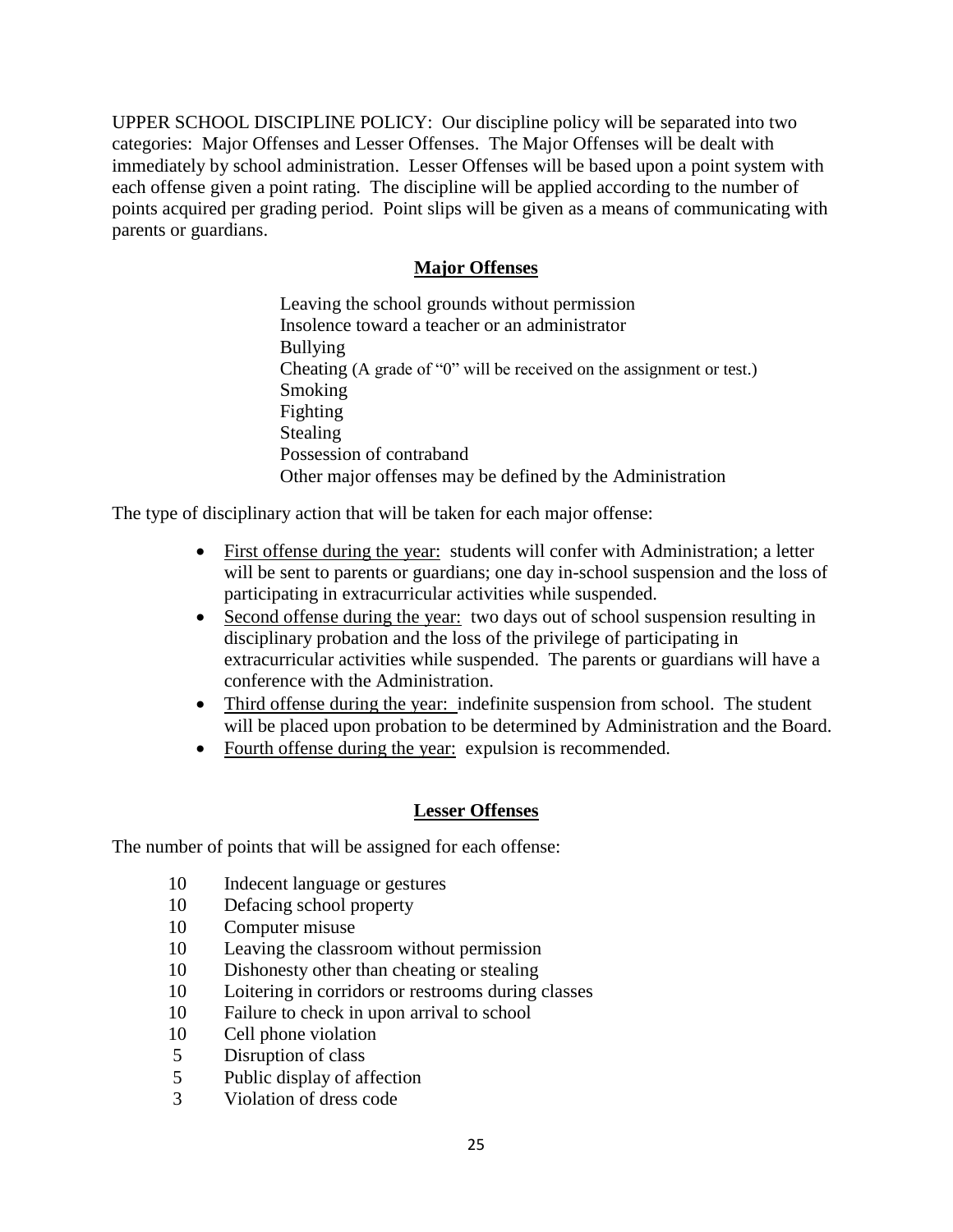UPPER SCHOOL DISCIPLINE POLICY: Our discipline policy will be separated into two categories: Major Offenses and Lesser Offenses. The Major Offenses will be dealt with immediately by school administration. Lesser Offenses will be based upon a point system with each offense given a point rating. The discipline will be applied according to the number of points acquired per grading period. Point slips will be given as a means of communicating with parents or guardians.

# **Major Offenses**

Leaving the school grounds without permission Insolence toward a teacher or an administrator Bullying Cheating (A grade of "0" will be received on the assignment or test.) Smoking Fighting Stealing Possession of contraband Other major offenses may be defined by the Administration

The type of disciplinary action that will be taken for each major offense:

- First offense during the year: students will confer with Administration; a letter will be sent to parents or guardians; one day in-school suspension and the loss of participating in extracurricular activities while suspended.
- Second offense during the year: two days out of school suspension resulting in disciplinary probation and the loss of the privilege of participating in extracurricular activities while suspended. The parents or guardians will have a conference with the Administration.
- Third offense during the year: indefinite suspension from school. The student will be placed upon probation to be determined by Administration and the Board.
- Fourth offense during the year: expulsion is recommended.

# **Lesser Offenses**

The number of points that will be assigned for each offense:

- 10 Indecent language or gestures
- 10 Defacing school property
- 10 Computer misuse
- 10 Leaving the classroom without permission
- 10 Dishonesty other than cheating or stealing
- 10 Loitering in corridors or restrooms during classes
- 10 Failure to check in upon arrival to school
- 10 Cell phone violation
- 5 Disruption of class
- 5 Public display of affection
- 3 Violation of dress code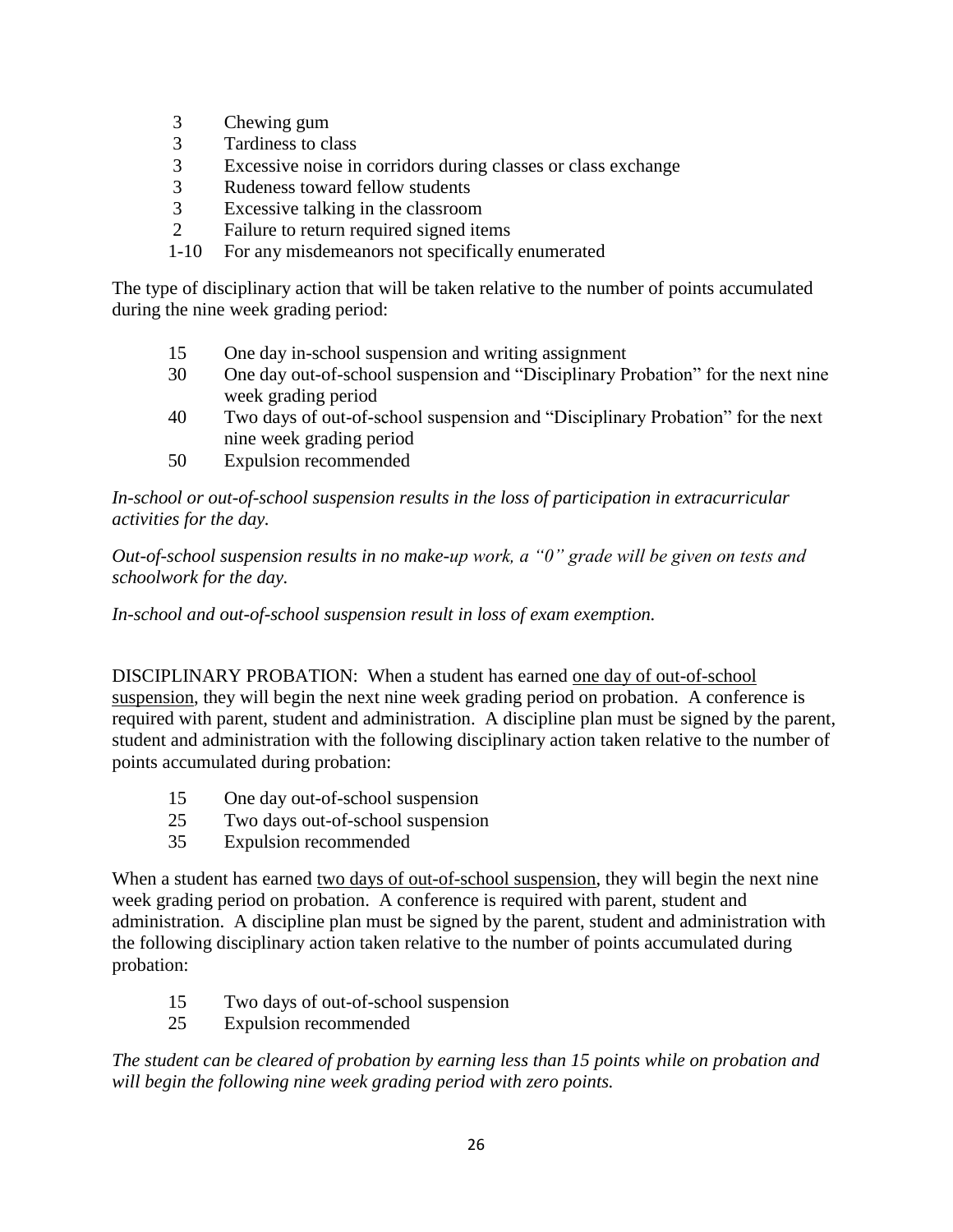- 3 Chewing gum
- 3 Tardiness to class<br>3 Excessive noise in
- Excessive noise in corridors during classes or class exchange
- 3 Rudeness toward fellow students
- 3 Excessive talking in the classroom
- 2 Failure to return required signed items
- 1-10 For any misdemeanors not specifically enumerated

The type of disciplinary action that will be taken relative to the number of points accumulated during the nine week grading period:

- 15 One day in-school suspension and writing assignment
- 30 One day out-of-school suspension and "Disciplinary Probation" for the next nine week grading period
- 40 Two days of out-of-school suspension and "Disciplinary Probation" for the next nine week grading period
- 50 Expulsion recommended

*In-school or out-of-school suspension results in the loss of participation in extracurricular activities for the day.*

*Out-of-school suspension results in no make-up work, a "0" grade will be given on tests and schoolwork for the day.*

*In-school and out-of-school suspension result in loss of exam exemption.*

DISCIPLINARY PROBATION: When a student has earned one day of out-of-school suspension, they will begin the next nine week grading period on probation. A conference is required with parent, student and administration. A discipline plan must be signed by the parent, student and administration with the following disciplinary action taken relative to the number of points accumulated during probation:

- 15 One day out-of-school suspension
- 25 Two days out-of-school suspension
- 35 Expulsion recommended

When a student has earned two days of out-of-school suspension, they will begin the next nine week grading period on probation. A conference is required with parent, student and administration. A discipline plan must be signed by the parent, student and administration with the following disciplinary action taken relative to the number of points accumulated during probation:

- 15 Two days of out-of-school suspension
- 25 Expulsion recommended

*The student can be cleared of probation by earning less than 15 points while on probation and will begin the following nine week grading period with zero points.*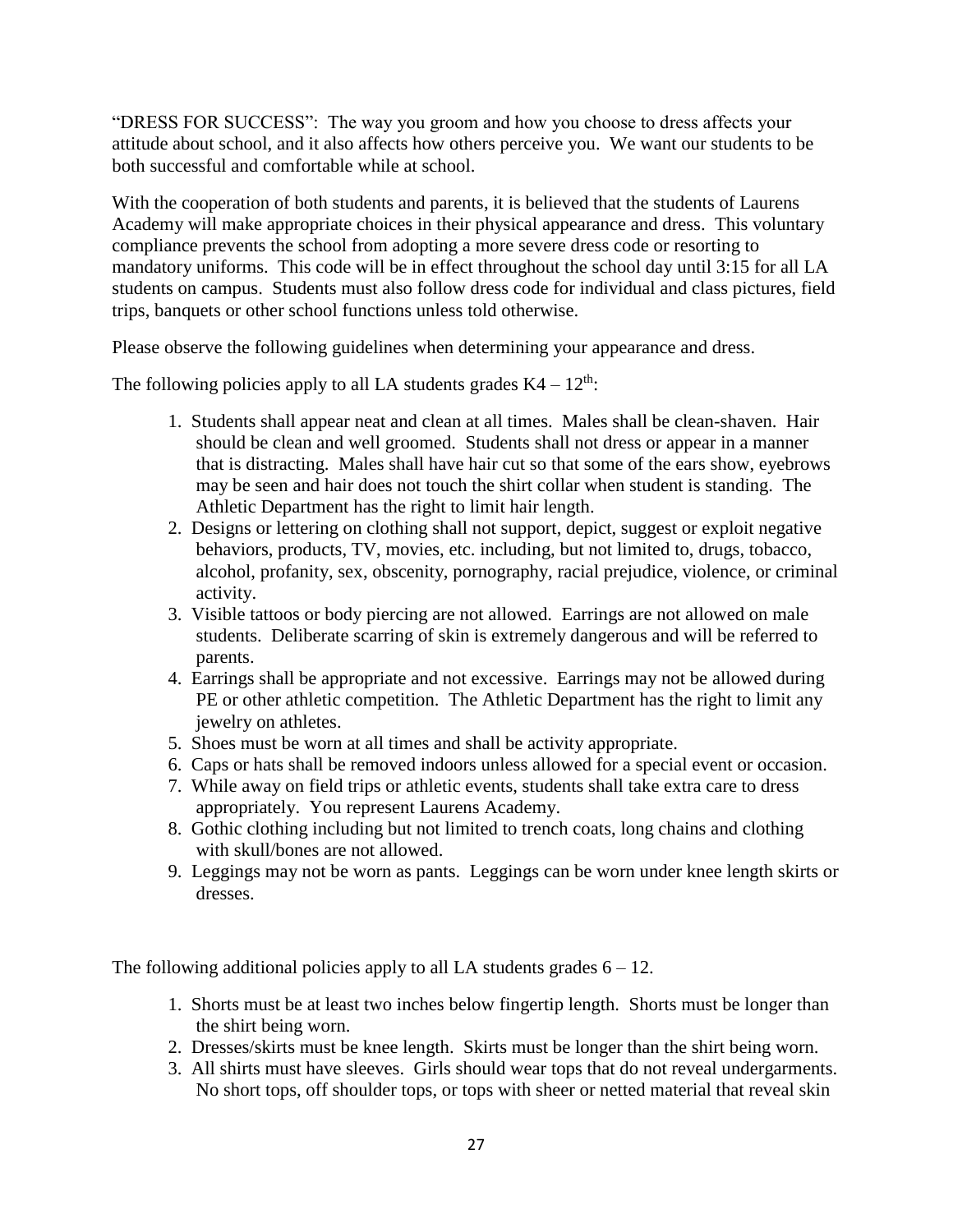"DRESS FOR SUCCESS": The way you groom and how you choose to dress affects your attitude about school, and it also affects how others perceive you. We want our students to be both successful and comfortable while at school.

With the cooperation of both students and parents, it is believed that the students of Laurens Academy will make appropriate choices in their physical appearance and dress. This voluntary compliance prevents the school from adopting a more severe dress code or resorting to mandatory uniforms. This code will be in effect throughout the school day until 3:15 for all LA students on campus. Students must also follow dress code for individual and class pictures, field trips, banquets or other school functions unless told otherwise.

Please observe the following guidelines when determining your appearance and dress.

The following policies apply to all LA students grades  $K4 - 12<sup>th</sup>$ :

- 1. Students shall appear neat and clean at all times. Males shall be clean-shaven. Hair should be clean and well groomed. Students shall not dress or appear in a manner that is distracting. Males shall have hair cut so that some of the ears show, eyebrows may be seen and hair does not touch the shirt collar when student is standing. The Athletic Department has the right to limit hair length.
- 2. Designs or lettering on clothing shall not support, depict, suggest or exploit negative behaviors, products, TV, movies, etc. including, but not limited to, drugs, tobacco, alcohol, profanity, sex, obscenity, pornography, racial prejudice, violence, or criminal activity.
- 3. Visible tattoos or body piercing are not allowed. Earrings are not allowed on male students. Deliberate scarring of skin is extremely dangerous and will be referred to parents.
- 4. Earrings shall be appropriate and not excessive. Earrings may not be allowed during PE or other athletic competition. The Athletic Department has the right to limit any jewelry on athletes.
- 5. Shoes must be worn at all times and shall be activity appropriate.
- 6. Caps or hats shall be removed indoors unless allowed for a special event or occasion.
- 7. While away on field trips or athletic events, students shall take extra care to dress appropriately. You represent Laurens Academy.
- 8. Gothic clothing including but not limited to trench coats, long chains and clothing with skull/bones are not allowed.
- 9. Leggings may not be worn as pants. Leggings can be worn under knee length skirts or dresses.

The following additional policies apply to all LA students grades  $6 - 12$ .

- 1. Shorts must be at least two inches below fingertip length. Shorts must be longer than the shirt being worn.
- 2. Dresses/skirts must be knee length. Skirts must be longer than the shirt being worn.
- 3. All shirts must have sleeves. Girls should wear tops that do not reveal undergarments. No short tops, off shoulder tops, or tops with sheer or netted material that reveal skin